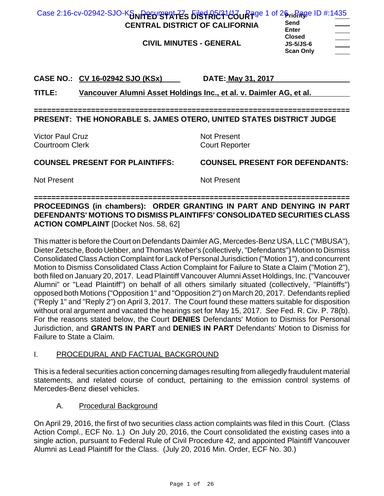| Case 2:16-cv-02942-SJO-K&NPED'STATES BISTRET-00UR Rge 1 of 26 richage ID #:1435<br><b>CENTRAL DISTRICT OF CALIFORNIA</b><br><b>CIVIL MINUTES - GENERAL</b> | Send<br><b>Enter</b><br><b>Closed</b><br><b>JS-5/JS-6</b><br><b>Scan Only</b> |
|------------------------------------------------------------------------------------------------------------------------------------------------------------|-------------------------------------------------------------------------------|
| CASE NO.: CV 16-02942 SJO (KSx)<br>Vancouver Alumni Asset Holdings Inc., et al. v. Daimler AG, et al.<br>TITLE:                                            | DATE: May 31, 2017                                                            |
| PRESENT: THE HONORABLE S. JAMES OTERO, UNITED STATES DISTRICT JUDGE                                                                                        |                                                                               |
| Victor Paul Cruz<br><b>Courtroom Clerk</b>                                                                                                                 | <b>Not Present</b><br><b>Court Reporter</b>                                   |
| <b>COUNSEL PRESENT FOR PLAINTIFFS:</b>                                                                                                                     | <b>COUNSEL PRESENT FOR DEFENDANTS:</b>                                        |
| <b>Not Present</b>                                                                                                                                         | <b>Not Present</b>                                                            |

**======================================================================== PROCEEDINGS (in chambers): ORDER GRANTING IN PART AND DENYING IN PART DEFENDANTS' MOTIONS TO DISMISS PLAINTIFFS' CONSOLIDATED SECURITIES CLASS ACTION COMPLAINT** [Docket Nos. 58, 62]

This matter is before the Court on Defendants Daimler AG, Mercedes-Benz USA, LLC ("MBUSA"), Dieter Zetsche, Bodo Uebber, and Thomas Weber's (collectively, "Defendants") Motion to Dismiss Consolidated Class Action Complaint for Lack of Personal Jurisdiction ("Motion 1"), and concurrent Motion to Dismiss Consolidated Class Action Complaint for Failure to State a Claim ("Motion 2"), both filed on January 20, 2017. Lead Plaintiff Vancouver Alumni Asset Holdings, Inc. ("Vancouver Alumni" or "Lead Plaintiff") on behalf of all others similarly situated (collectively, "Plaintiffs") opposed both Motions ("Opposition 1" and "Opposition 2") on March 20, 2017. Defendants replied ("Reply 1" and "Reply 2") on April 3, 2017. The Court found these matters suitable for disposition without oral argument and vacated the hearings set for May 15, 2017. *See* Fed. R. Civ. P. 78(b). For the reasons stated below, the Court **DENIES** Defendants' Motion to Dismiss for Personal Jurisdiction, and **GRANTS IN PART** and **DENIES IN PART** Defendants' Motion to Dismiss for Failure to State a Claim.

## I. PROCEDURAL AND FACTUAL BACKGROUND

This is a federal securities action concerning damages resulting from allegedly fraudulent material statements, and related course of conduct, pertaining to the emission control systems of Mercedes-Benz diesel vehicles.

A. Procedural Background

On April 29, 2016, the first of two securities class action complaints was filed in this Court. (Class Action Compl., ECF No. 1.) On July 20, 2016, the Court consolidated the existing cases into a single action, pursuant to Federal Rule of Civil Procedure 42, and appointed Plaintiff Vancouver Alumni as Lead Plaintiff for the Class. (July 20, 2016 Min. Order, ECF No. 30.)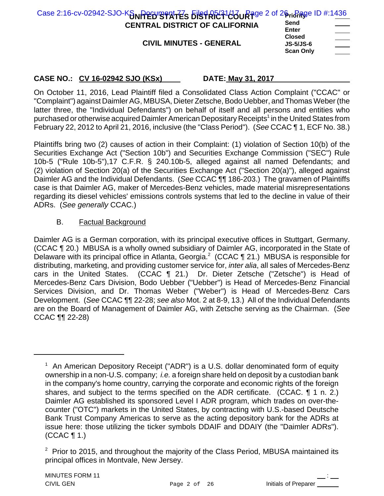| Case 2:16-cv-02942-SJO-K $\delta_{\text{N}}$ Perumerities bistRR41430 Rage 2 of 26 rigage ID #:1436 |                                                       |                                                            |
|-----------------------------------------------------------------------------------------------------|-------------------------------------------------------|------------------------------------------------------------|
| <b>CENTRAL DISTRICT OF CALIFORNIA</b>                                                               | Send<br><b>Enter</b>                                  | $\overbrace{\hspace{25mm}}^{}$<br><b>Contract Contract</b> |
| <b>CIVIL MINUTES - GENERAL</b>                                                                      | <b>Closed</b><br><b>JS-5/JS-6</b><br><b>Scan Only</b> | $\overline{\phantom{a}}$                                   |

On October 11, 2016, Lead Plaintiff filed a Consolidated Class Action Complaint ("CCAC" or "Complaint") against Daimler AG, MBUSA, Dieter Zetsche, Bodo Uebber, and Thomas Weber (the latter three, the "Individual Defendants") on behalf of itself and all persons and entities who purchased or otherwise acquired Daimler American Depositary Receipts<sup>1</sup> in the United States from February 22, 2012 to April 21, 2016, inclusive (the "Class Period"). (*See* CCAC ¶ 1, ECF No. 38.)

Plaintiffs bring two (2) causes of action in their Complaint: (1) violation of Section 10(b) of the Securities Exchange Act ("Section 10b") and Securities Exchange Commission ("SEC") Rule 10b-5 ("Rule 10b-5"),17 C.F.R. § 240.10b-5, alleged against all named Defendants; and (2) violation of Section 20(a) of the Securities Exchange Act ("Section 20(a)"), alleged against Daimler AG and the Individual Defendants. (*See* CCAC ¶¶ 186-203.) The gravamen of Plaintiffs case is that Daimler AG, maker of Mercedes-Benz vehicles, made material misrepresentations regarding its diesel vehicles' emissions controls systems that led to the decline in value of their ADRs. (*See generally* CCAC.)

## B. Factual Background

Daimler AG is a German corporation, with its principal executive offices in Stuttgart, Germany. (CCAC ¶ 20.) MBUSA is a wholly owned subsidiary of Daimler AG, incorporated in the State of Delaware with its principal office in Atlanta, Georgia.<sup>2</sup> (CCAC  $\P$  21.) MBUSA is responsible for distributing, marketing, and providing customer service for, *inter alia*, all sales of Mercedes-Benz cars in the United States. (CCAC ¶ 21.) Dr. Dieter Zetsche ("Zetsche") is Head of Mercedes-Benz Cars Division, Bodo Uebber ("Uebber") is Head of Mercedes-Benz Financial Services Division, and Dr. Thomas Weber ("Weber") is Head of Mercedes-Benz Cars Development. (*See* CCAC ¶¶ 22-28; *see also* Mot. 2 at 8-9, 13.) All of the Individual Defendants are on the Board of Management of Daimler AG, with Zetsche serving as the Chairman. (*See* CCAC ¶¶ 22-28)

<sup>&</sup>lt;sup>1</sup> An American Depository Receipt ("ADR") is a U.S. dollar denominated form of equity ownership in a non-U.S. company; *i.e.* a foreign share held on deposit by a custodian bank in the company's home country, carrying the corporate and economic rights of the foreign shares, and subject to the terms specified on the ADR certificate. (CCAC. 1 1 n. 2.) Daimler AG established its sponsored Level I ADR program, which trades on over-thecounter ("OTC") markets in the United States, by contracting with U.S.-based Deutsche Bank Trust Company Americas to serve as the acting depository bank for the ADRs at issue here: those utilizing the ticker symbols DDAIF and DDAIY (the "Daimler ADRs"). (CCAC ¶ 1.)

 $2$  Prior to 2015, and throughout the majority of the Class Period, MBUSA maintained its principal offices in Montvale, New Jersey.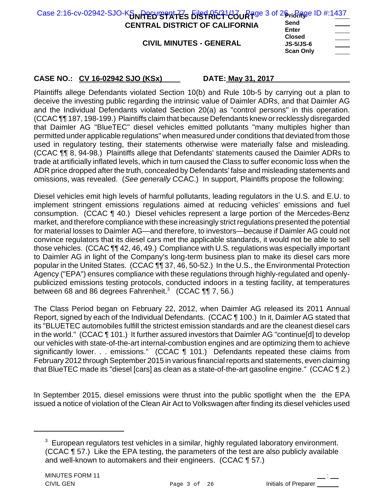| Case 2:16-cv-02942-SJO-Kan Perugant 72s bistRR21430uRage 3 of 26risRage ID #:1437 |                                                       |                                   |
|-----------------------------------------------------------------------------------|-------------------------------------------------------|-----------------------------------|
| <b>CENTRAL DISTRICT OF CALIFORNIA</b>                                             | Send<br><b>Enter</b>                                  | $\sim$ $\sim$                     |
| <b>CIVIL MINUTES - GENERAL</b>                                                    | <b>Closed</b><br><b>JS-5/JS-6</b><br><b>Scan Only</b> | and the control of the control of |

Plaintiffs allege Defendants violated Section 10(b) and Rule 10b-5 by carrying out a plan to deceive the investing public regarding the intrinsic value of Daimler ADRs, and that Daimler AG and the Individual Defendants violated Section 20(a) as "control persons" in this operation. (CCAC ¶¶ 187, 198-199.) Plaintiffs claim that because Defendants knew or recklessly disregarded that Daimler AG "BlueTEC" diesel vehicles emitted pollutants "many multiples higher than permitted under applicable regulations" when measured under conditions that deviated from those used in regulatory testing, their statements otherwise were materially false and misleading. (CCAC ¶¶ 8, 94-98.) Plaintiffs allege that Defendants' statements caused the Daimler ADRs to trade at artificially inflated levels, which in turn caused the Class to suffer economic loss when the ADR price dropped after the truth, concealed by Defendants' false and misleading statements and omissions, was revealed. (*See generally* CCAC.) In support, Plaintiffs propose the following:

Diesel vehicles emit high levels of harmful pollutants, leading regulators in the U.S. and E.U. to implement stringent emissions regulations aimed at reducing vehicles' emissions and fuel consumption. (CCAC ¶ 40.) Diesel vehicles represent a large portion of the Mercedes-Benz market, and therefore compliance with these increasingly strict regulations presented the potential for material losses to Daimler AG—and therefore, to investors—because if Daimler AG could not convince regulators that its diesel cars met the applicable standards, it would not be able to sell those vehicles. (CCAC ¶¶ 42, 46, 49.) Compliance with U.S. regulations was especially important to Daimler AG in light of the Company's long-term business plan to make its diesel cars more popular in the United States. (CCAC ¶¶ 37, 46, 50-52.) In the U.S., the Environmental Protection Agency ("EPA") ensures compliance with these regulations through highly-regulated and openlypublicized emissions testing protocols, conducted indoors in a testing facility, at temperatures between 68 and 86 degrees Fahrenheit. $3 \quad (CCAC \, \P\P 7, 56.)$ 

The Class Period began on February 22, 2012, when Daimler AG released its 2011 Annual Report, signed by each of the Individual Defendants. (CCAC ¶ 100.) In it, Daimler AG stated that its "BLUETEC automobiles fulfill the strictest emission standards and are the cleanest diesel cars in the world." (CCAC ¶ 101.) It further assured investors that Daimler AG "continue[d] to develop our vehicles with state-of-the-art internal-combustion engines and are optimizing them to achieve significantly lower. . . emissions." (CCAC ¶ 101.) Defendants repeated these claims from February 2012 through September 2015 in various financial reports and statements, even claiming that BlueTEC made its "diesel [cars] as clean as a state-of-the-art gasoline engine." (CCAC ¶ 2.)

In September 2015, diesel emissions were thrust into the public spotlight when the the EPA issued a notice of violation of the Clean Air Act to Volkswagen after finding its diesel vehicles used

 $3$  European regulators test vehicles in a similar, highly regulated laboratory environment. (CCAC ¶ 57.) Like the EPA testing, the parameters of the test are also publicly available and well-known to automakers and their engineers. (CCAC ¶ 57.)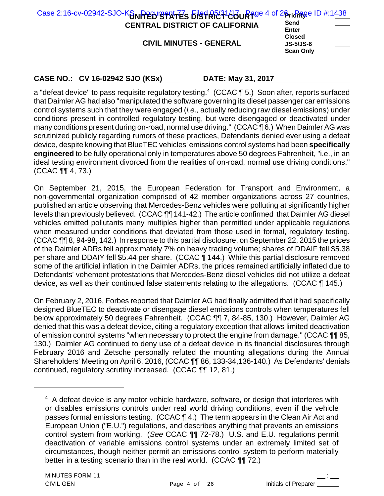| Case 2:16-cv-02942-SJO-KSNRED BRATES 5184R523123UR3ge 4 of 26ristage ID #:1438 |                              |                                                                 |
|--------------------------------------------------------------------------------|------------------------------|-----------------------------------------------------------------|
| <b>CENTRAL DISTRICT OF CALIFORNIA</b>                                          | Send<br><b>Enter</b>         |                                                                 |
| <b>CIVIL MINUTES - GENERAL</b>                                                 | <b>Closed</b><br>$JS-5/JS-6$ | and the state of the state of<br>and the company of the company |

| <b>Closed</b>    |  |
|------------------|--|
| <b>JS-5/JS-6</b> |  |
| <b>Scan Only</b> |  |

a "defeat device" to pass requisite regulatory testing.<sup>4</sup> (CCAC ¶ 5.) Soon after, reports surfaced that Daimler AG had also "manipulated the software governing its diesel passenger car emissions control systems such that they were engaged (*i.e.,* actually reducing raw diesel emissions) under conditions present in controlled regulatory testing, but were disengaged or deactivated under many conditions present during on-road, normal use driving." (CCAC ¶ 6.) When Daimler AG was scrutinized publicly regarding rumors of these practices, Defendants denied ever using a defeat device, despite knowing that BlueTEC vehicles' emissions control systems had been **specifically engineered** to be fully operational only in temperatures above 50 degrees Fahrenheit, "i.e., in an ideal testing environment divorced from the realities of on-road, normal use driving conditions." (CCAC ¶¶ 4, 73.)

On September 21, 2015, the European Federation for Transport and Environment, a non-governmental organization comprised of 42 member organizations across 27 countries, published an article observing that Mercedes-Benz vehicles were polluting at significantly higher levels than previously believed. (CCAC ¶¶ 141-42.) The article confirmed that Daimler AG diesel vehicles emitted pollutants many multiples higher than permitted under applicable regulations when measured under conditions that deviated from those used in formal, regulatory testing. (CCAC ¶¶ 8, 94-98, 142.) In response to this partial disclosure, on September 22, 2015 the prices of the Daimler ADRs fell approximately 7% on heavy trading volume; shares of DDAIF fell \$5.38 per share and DDAIY fell \$5.44 per share. (CCAC ¶ 144.) While this partial disclosure removed some of the artificial inflation in the Daimler ADRs, the prices remained artificially inflated due to Defendants' vehement protestations that Mercedes-Benz diesel vehicles did not utilize a defeat device, as well as their continued false statements relating to the allegations. (CCAC ¶ 145.)

On February 2, 2016, Forbes reported that Daimler AG had finally admitted that it had specifically designed BlueTEC to deactivate or disengage diesel emissions controls when temperatures fell below approximately 50 degrees Fahrenheit. (CCAC ¶¶ 7, 84-85, 130.) However, Daimler AG denied that this was a defeat device, citing a regulatory exception that allows limited deactivation of emission control systems "when necessary to protect the engine from damage." (CCAC ¶¶ 85, 130.) Daimler AG continued to deny use of a defeat device in its financial disclosures through February 2016 and Zetsche personally refuted the mounting allegations during the Annual Shareholders' Meeting on April 6, 2016, (CCAC ¶¶ 86, 133-34,136-140.) As Defendants' denials continued, regulatory scrutiny increased. (CCAC ¶¶ 12, 81.)

<sup>&</sup>lt;sup>4</sup> A defeat device is any motor vehicle hardware, software, or design that interferes with or disables emissions controls under real world driving conditions, even if the vehicle passes formal emissions testing. (CCAC ¶ 4.) The term appears in the Clean Air Act and European Union ("E.U.") regulations, and describes anything that prevents an emissions control system from working. (*See* CCAC ¶¶ 72-78.) U.S. and E.U. regulations permit deactivation of variable emissions control systems under an extremely limited set of circumstances, though neither permit an emissions control system to perform materially better in a testing scenario than in the real world. (CCAC ¶¶ 72.)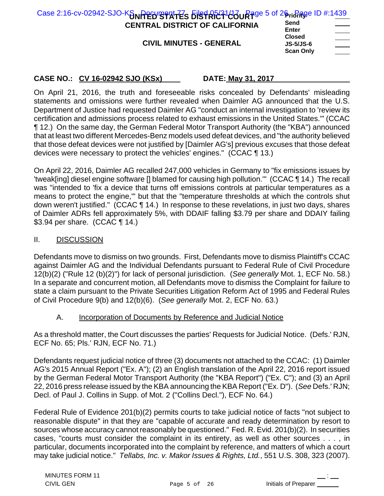| Case 2:16-cv-02942-SJO-K $\delta_{\text{N}}$ Perugant $\bar{f}$ s Filst RF21430 Rage 5 of 26 rigage ID #:1439 |                                   |                                     |
|---------------------------------------------------------------------------------------------------------------|-----------------------------------|-------------------------------------|
| <b>CENTRAL DISTRICT OF CALIFORNIA</b>                                                                         | Send<br><b>Enter</b>              | and the contract of the contract of |
| <b>CIVIL MINUTES - GENERAL</b>                                                                                | <b>Closed</b><br><b>JS-5/JS-6</b> | ______                              |
|                                                                                                               | <b>Scan Only</b>                  |                                     |

On April 21, 2016, the truth and foreseeable risks concealed by Defendants' misleading statements and omissions were further revealed when Daimler AG announced that the U.S. Department of Justice had requested Daimler AG "conduct an internal investigation to 'review its certification and admissions process related to exhaust emissions in the United States.'" (CCAC ¶ 12.) On the same day, the German Federal Motor Transport Authority (the "KBA") announced that at least two different Mercedes-Benz models used defeat devices, and "the authority believed that those defeat devices were not justified by [Daimler AG's] previous excuses that those defeat devices were necessary to protect the vehicles' engines." (CCAC ¶ 13.)

On April 22, 2016, Daimler AG recalled 247,000 vehicles in Germany to "fix emissions issues by 'tweak[ing] diesel engine software [] blamed for causing high pollution.'" (CCAC ¶ 14.) The recall was "intended to 'fix a device that turns off emissions controls at particular temperatures as a means to protect the engine,'" but that the "temperature thresholds at which the controls shut down weren't justified." (CCAC ¶ 14.) In response to these revelations, in just two days, shares of Daimler ADRs fell approximately 5%, with DDAIF falling \$3.79 per share and DDAIY failing \$3.94 per share. (CCAC ¶ 14.)

## II. DISCUSSION

Defendants move to dismiss on two grounds. First, Defendants move to dismiss Plaintiff's CCAC against Daimler AG and the Individual Defendants pursuant to Federal Rule of Civil Procedure 12(b)(2) ("Rule 12 (b)(2)") for lack of personal jurisdiction. (*See generally* Mot. 1, ECF No. 58.) In a separate and concurrent motion, all Defendants move to dismiss the Complaint for failure to state a claim pursuant to the Private Securities Litigation Reform Act of 1995 and Federal Rules of Civil Procedure 9(b) and 12(b)(6). (*See generally* Mot. 2, ECF No. 63.)

## A. Incorporation of Documents by Reference and Judicial Notice

As a threshold matter, the Court discusses the parties' Requests for Judicial Notice. (Defs.' RJN, ECF No. 65; Pls.' RJN, ECF No. 71.)

Defendants request judicial notice of three (3) documents not attached to the CCAC: (1) Daimler AG's 2015 Annual Report ("Ex. A"); (2) an English translation of the April 22, 2016 report issued by the German Federal Motor Transport Authority (the "KBA Report") ("Ex. C"); and (3) an April 22, 2016 press release issued by the KBA announcing the KBA Report ("Ex. D"). (*See* Defs.' RJN; Decl. of Paul J. Collins in Supp. of Mot. 2 ("Collins Decl."), ECF No. 64.)

Federal Rule of Evidence 201(b)(2) permits courts to take judicial notice of facts "not subject to reasonable dispute" in that they are "capable of accurate and ready determination by resort to sources whose accuracy cannot reasonably be questioned." Fed. R. Evid. 201(b)(2). In securities cases, "courts must consider the complaint in its entirety, as well as other sources . . . , in particular, documents incorporated into the complaint by reference, and matters of which a court may take judicial notice." *Tellabs, Inc. v. Makor Issues & Rights, Ltd.*, 551 U.S. 308, 323 (2007).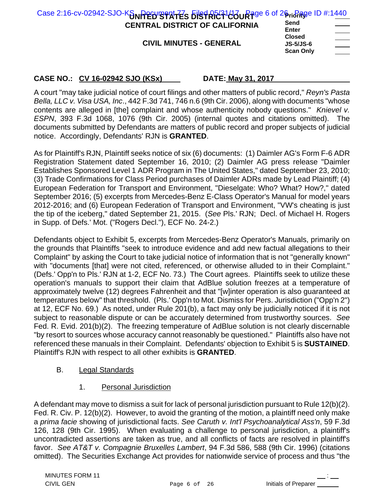| Case 2:16-cv-02942-SJO-K $\delta_{\text{N}}$ Perugant $\bar{f}$ s Filst RF21400 Rage 6 of 26 right RF2 ID #:1440 |                                                       |  |
|------------------------------------------------------------------------------------------------------------------|-------------------------------------------------------|--|
| <b>CENTRAL DISTRICT OF CALIFORNIA</b>                                                                            | Send<br><b>Enter</b>                                  |  |
| <b>CIVIL MINUTES - GENERAL</b>                                                                                   | <b>Closed</b><br><b>JS-5/JS-6</b><br><b>Scan Only</b> |  |

A court "may take judicial notice of court filings and other matters of public record," *Reyn's Pasta Bella, LLC v. Visa USA, Inc*., 442 F.3d 741, 746 n.6 (9th Cir. 2006), along with documents "whose contents are alleged in [the] complaint and whose authenticity nobody questions." *Knievel v. ESPN*, 393 F.3d 1068, 1076 (9th Cir. 2005) (internal quotes and citations omitted). The documents submitted by Defendants are matters of public record and proper subjects of judicial notice. Accordingly, Defendants' RJN is **GRANTED**.

As for Plaintiff's RJN, Plaintiff seeks notice of six (6) documents: (1) Daimler AG's Form F-6 ADR Registration Statement dated September 16, 2010; (2) Daimler AG press release "Daimler Establishes Sponsored Level 1 ADR Program in The United States," dated September 23, 2010; (3) Trade Confirmations for Class Period purchases of Daimler ADRs made by Lead Plaintiff; (4) European Federation for Transport and Environment, "Dieselgate: Who? What? How?," dated September 2016; (5) excerpts from Mercedes-Benz E-Class Operator's Manual for model years 2012-2016; and (6) European Federation of Transport and Environment, "VW's cheating is just the tip of the iceberg," dated September 21, 2015. (*See* Pls.' RJN; Decl. of Michael H. Rogers in Supp. of Defs.' Mot. ("Rogers Decl."), ECF No. 24-2.)

Defendants object to Exhibit 5, excerpts from Mercedes-Benz Operator's Manuals, primarily on the grounds that Plaintiffs "seek to introduce evidence and add new factual allegations to their Complaint" by asking the Court to take judicial notice of information that is not "generally known" with "documents [that] were not cited, referenced, or otherwise alluded to in their Complaint." (Defs.' Opp'n to Pls.' RJN at 1-2, ECF No. 73.) The Court agrees. Plaintiffs seek to utilize these operation's manuals to support their claim that AdBlue solution freezes at a temperature of approximately twelve (12) degrees Fahrenheit and that "[w]inter operation is also guaranteed at temperatures below" that threshold. (Pls.' Opp'n to Mot. Dismiss for Pers. Jurisdiction ("Opp'n 2") at 12, ECF No. 69.) As noted, under Rule 201(b), a fact may only be judicially noticed if it is not subject to reasonable dispute or can be accurately determined from trustworthy sources. *See* Fed. R. Evid. 201(b)(2). The freezing temperature of AdBlue solution is not clearly discernable "by resort to sources whose accuracy cannot reasonably be questioned." Plaintiffs also have not referenced these manuals in their Complaint. Defendants' objection to Exhibit 5 is **SUSTAINED**. Plaintiff's RJN with respect to all other exhibits is **GRANTED**.

## B. Legal Standards

1. Personal Jurisdiction

A defendant may move to dismiss a suit for lack of personal jurisdiction pursuant to Rule 12(b)(2). Fed. R. Civ. P. 12(b)(2). However, to avoid the granting of the motion, a plaintiff need only make a *prima facie* showing of jurisdictional facts. *See Caruth v. Int'l Psychoanalytical Ass'n*, 59 F.3d 126, 128 (9th Cir. 1995). When evaluating a challenge to personal jurisdiction, a plaintiff's uncontradicted assertions are taken as true, and all conflicts of facts are resolved in plaintiff's favor. *See AT&T v. Compagnie Bruxelles Lambert*, 94 F.3d 586, 588 (9th Cir. 1996) (citations omitted). The Securities Exchange Act provides for nationwide service of process and thus "the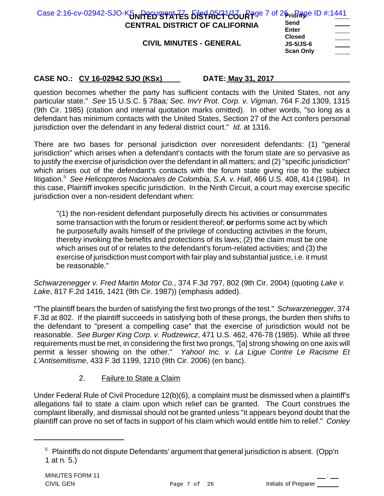| Case 2:16-cv-02942-SJO-KSNRED STATES BISTRECT COURT OF 26 right Region #:1441 |                                                       |                                                                 |
|-------------------------------------------------------------------------------|-------------------------------------------------------|-----------------------------------------------------------------|
| <b>CENTRAL DISTRICT OF CALIFORNIA</b>                                         | Send<br><b>Enter</b>                                  |                                                                 |
| <b>CIVIL MINUTES - GENERAL</b>                                                | <b>Closed</b><br><b>JS-5/JS-6</b><br><b>Scan Only</b> | the control of the control of<br>$\overbrace{\hspace{25mm}}^{}$ |

question becomes whether the party has sufficient contacts with the United States, not any particular state." *See* 15 U.S.C. § 78aa*; Sec. Inv'r Prot. Corp. v. Vigman*, 764 F.2d 1309, 1315 (9th Cir. 1985) (citation and internal quotation marks omitted). In other words, "so long as a defendant has minimum contacts with the United States, Section 27 of the Act confers personal jurisdiction over the defendant in any federal district court." *Id.* at 1316.

There are two bases for personal jurisdiction over nonresident defendants: (1) "general jurisdiction" which arises when a defendant's contacts with the forum state are so pervasive as to justify the exercise of jurisdiction over the defendant in all matters; and (2) "specific jurisdiction" which arises out of the defendant's contacts with the forum state giving rise to the subject litigation.<sup>5</sup> See Helicopteros Nacionales de Colombia, S.A. v. Hall, 466 U.S. 408, 414 (1984). In this case, Plaintiff invokes specific jurisdiction. In the Ninth Circuit, a court may exercise specific jurisdiction over a non-resident defendant when:

"(1) the non-resident defendant purposefully directs his activities or consummates some transaction with the forum or resident thereof; **or** performs some act by which he purposefully avails himself of the privilege of conducting activities in the forum, thereby invoking the benefits and protections of its laws; (2) the claim must be one which arises out of or relates to the defendant's forum-related activities; and (3) the exercise of jurisdiction must comport with fair play and substantial justice, i.e. it must be reasonable."

*Schwarzenegger v. Fred Martin Motor Co.*, 374 F.3d 797, 802 (9th Cir. 2004) (quoting *Lake v. Lake*, 817 F.2d 1416, 1421 (9th Cir. 1987)) (emphasis added).

"The plaintiff bears the burden of satisfying the first two prongs of the test." *Schwarzenegger*, 374 F.3d at 802. If the plaintiff succeeds in satisfying both of these prongs, the burden then shifts to the defendant to "present a compelling case" that the exercise of jurisdiction would not be reasonable. *See Burger King Corp. v. Rudzewicz*, 471 U.S. 462, 476-78 (1985). While all three requirements must be met, in considering the first two prongs, "[a] strong showing on one axis will permit a lesser showing on the other." *Yahoo! Inc. v. La Ligue Contre Le Racisme Et L'Antisemitisme*, 433 F.3d 1199, 1210 (9th Cir. 2006) (en banc).

## 2. Failure to State a Claim

Under Federal Rule of Civil Procedure 12(b)(6), a complaint must be dismissed when a plaintiff's allegations fail to state a claim upon which relief can be granted. The Court construes the complaint liberally, and dismissal should not be granted unless "it appears beyond doubt that the plaintiff can prove no set of facts in support of his claim which would entitle him to relief." *Conley*

 $5$  Plaintiffs do not dispute Defendants' argument that general jurisdiction is absent. (Opp'n 1 at n. 5.)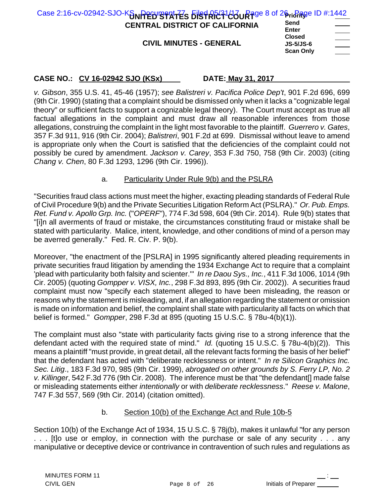| Case 2:16-cv-02942-SJO-K $\delta_{\text{N}}$ Peruge $\frac{1}{2}$ $\frac{1}{2}$ $\frac{1}{2}$ $\frac{1}{2}$ $\frac{1}{2}$ $\frac{1}{2}$ $\frac{1}{2}$ $\frac{1}{2}$ $\frac{1}{2}$ $\frac{1}{2}$ $\frac{1}{2}$ $\frac{1}{2}$ $\frac{1}{2}$ $\frac{1}{2}$ $\frac{1}{2}$ $\frac{1}{2}$ $\frac{1}{2}$ $\frac{1}{2}$ |                                                  |                          |
|-----------------------------------------------------------------------------------------------------------------------------------------------------------------------------------------------------------------------------------------------------------------------------------------------------------------|--------------------------------------------------|--------------------------|
| <b>CENTRAL DISTRICT OF CALIFORNIA</b>                                                                                                                                                                                                                                                                           | Send<br>Enter                                    | <b>Contract Contract</b> |
| <b>CIVIL MINUTES - GENERAL</b>                                                                                                                                                                                                                                                                                  | <b>Closed</b><br>$JS-5/JS-6$<br><b>Scan Only</b> | $\sim$ 100 $\sim$        |

*v. Gibson*, 355 U.S. 41, 45-46 (1957); *see Balistreri v. Pacifica Police Dep't*, 901 F.2d 696, 699 (9th Cir. 1990) (stating that a complaint should be dismissed only when it lacks a "cognizable legal theory" or sufficient facts to support a cognizable legal theory). The Court must accept as true all factual allegations in the complaint and must draw all reasonable inferences from those allegations, construing the complaint in the light most favorable to the plaintiff. *Guerrero v. Gates*, 357 F.3d 911, 916 (9th Cir. 2004); *Balistreri*, 901 F.2d at 699. Dismissal without leave to amend is appropriate only when the Court is satisfied that the deficiencies of the complaint could not possibly be cured by amendment. *Jackson v. Carey*, 353 F.3d 750, 758 (9th Cir. 2003) (citing *Chang v. Chen*, 80 F.3d 1293, 1296 (9th Cir. 1996)).

## a. Particularity Under Rule 9(b) and the PSLRA

"Securities fraud class actions must meet the higher, exacting pleading standards of Federal Rule of Civil Procedure 9(b) and the Private Securities Litigation Reform Act (PSLRA)." *Or. Pub. Emps. Ret. Fund v. Apollo Grp. Inc.* ("*OPERF*"), 774 F.3d 598, 604 (9th Cir. 2014). Rule 9(b) states that "[i]n all averments of fraud or mistake, the circumstances constituting fraud or mistake shall be stated with particularity. Malice, intent, knowledge, and other conditions of mind of a person may be averred generally." Fed. R. Civ. P. 9(b).

Moreover, "the enactment of the [PSLRA] in 1995 significantly altered pleading requirements in private securities fraud litigation by amending the 1934 Exchange Act to require that a complaint 'plead with particularity both falsity and scienter.'" *In re Daou Sys., Inc.*, 411 F.3d 1006, 1014 (9th Cir. 2005) (quoting *Gompper v. VISX, Inc.*, 298 F.3d 893, 895 (9th Cir. 2002)). A securities fraud complaint must now "specify each statement alleged to have been misleading, the reason or reasons why the statement is misleading, and, if an allegation regarding the statement or omission is made on information and belief, the complaint shall state with particularity all facts on which that belief is formed." *Gompper*, 298 F.3d at 895 (quoting 15 U.S.C. § 78u-4(b)(1)).

The complaint must also "state with particularity facts giving rise to a strong inference that the defendant acted with the required state of mind." *Id.* (quoting 15 U.S.C. § 78u-4(b)(2)). This means a plaintiff "must provide, in great detail, all the relevant facts forming the basis of her belief" that the defendant has acted with "deliberate recklessness or intent." *In re Silicon Graphics Inc. Sec. Litig*., 183 F.3d 970, 985 (9th Cir. 1999), *abrogated on other grounds by S. Ferry LP, No. 2 v. Killinger*, 542 F.3d 776 (9th Cir. 2008). The inference must be that "the defendant[] made false or misleading statements either *intentionally* or with *deliberate recklessness*." *Reese v. Malone*, 747 F.3d 557, 569 (9th Cir. 2014) (citation omitted).

## b. Section 10(b) of the Exchange Act and Rule 10b-5

Section 10(b) of the Exchange Act of 1934, 15 U.S.C. § 78j(b), makes it unlawful "for any person . . . [t]o use or employ, in connection with the purchase or sale of any security . . . any manipulative or deceptive device or contrivance in contravention of such rules and regulations as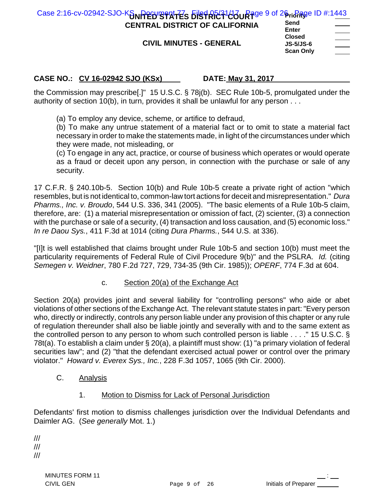| Case 2:16-cv-02942-SJO-Kannerby strates bist Rict143 URage 9 of 26 richage ID #:1443 |      |  |
|--------------------------------------------------------------------------------------|------|--|
| <b>CENTRAL DISTRICT OF CALIFORNIA</b>                                                | Send |  |

**CIVIL MINUTES - GENERAL**

| Send      |  |
|-----------|--|
| Enter     |  |
| Closed    |  |
| JS-5/JS-6 |  |
| Scan Only |  |
|           |  |

## **CASE NO.: CV 16-02942 SJO (KSx) DATE: May 31, 2017**

the Commission may prescribe[.]" 15 U.S.C. § 78j(b). SEC Rule 10b-5, promulgated under the authority of section 10(b), in turn, provides it shall be unlawful for any person . . .

(a) To employ any device, scheme, or artifice to defraud,

(b) To make any untrue statement of a material fact or to omit to state a material fact necessary in order to make the statements made, in light of the circumstances under which they were made, not misleading, or

(c) To engage in any act, practice, or course of business which operates or would operate as a fraud or deceit upon any person, in connection with the purchase or sale of any security.

17 C.F.R. § 240.10b-5. Section 10(b) and Rule 10b-5 create a private right of action "which resembles, but is not identical to, common-law tort actions for deceit and misrepresentation." *Dura Pharms., Inc. v. Broudo*, 544 U.S. 336, 341 (2005). "The basic elements of a Rule 10b-5 claim, therefore, are: (1) a material misrepresentation or omission of fact, (2) scienter, (3) a connection with the purchase or sale of a security, (4) transaction and loss causation, and (5) economic loss." *In re Daou Sys.*, 411 F.3d at 1014 (citing *Dura Pharms.*, 544 U.S. at 336).

"[I]t is well established that claims brought under Rule 10b-5 and section 10(b) must meet the particularity requirements of Federal Rule of Civil Procedure 9(b)" and the PSLRA. *Id.* (citing *Semegen v. Weidner*, 780 F.2d 727, 729, 734-35 (9th Cir. 1985)); *OPERF*, 774 F.3d at 604.

c. Section 20(a) of the Exchange Act

Section 20(a) provides joint and several liability for "controlling persons" who aide or abet violations of other sections of the Exchange Act. The relevant statute states in part: "Every person who, directly or indirectly, controls any person liable under any provision of this chapter or any rule of regulation thereunder shall also be liable jointly and severally with and to the same extent as the controlled person to any person to whom such controlled person is liable . . . ." 15 U.S.C. § 78t(a). To establish a claim under § 20(a), a plaintiff must show: (1) "a primary violation of federal securities law"; and (2) "that the defendant exercised actual power or control over the primary violator." *Howard v. Everex Sys., Inc.*, 228 F.3d 1057, 1065 (9th Cir. 2000).

- C. Analysis
	- 1. Motion to Dismiss for Lack of Personal Jurisdiction

Defendants' first motion to dismiss challenges jurisdiction over the Individual Defendants and Daimler AG. (*See generally* Mot. 1.)

/// /// ///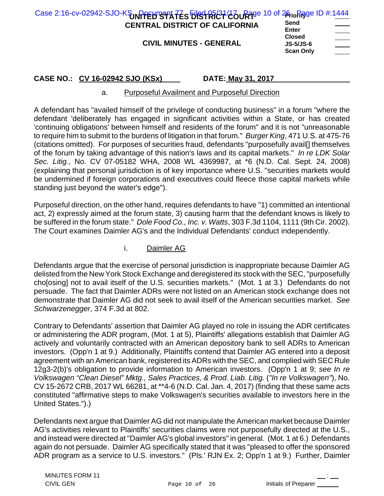| Case 2:16-cv-02942-SJO-KSUNPPEHTSPATES FIRSTRICT 26 URTS 10 of 26 in Rage ID #:1444<br><b>CENTRAL DISTRICT OF CALIFORNIA</b><br><b>CIVIL MINUTES - GENERAL</b> | Send<br>Enter<br><b>Closed</b>       |  |
|----------------------------------------------------------------------------------------------------------------------------------------------------------------|--------------------------------------|--|
|                                                                                                                                                                | <b>JS-5/JS-6</b><br><b>Scan Only</b> |  |

#### a. Purposeful Availment and Purposeful Direction

A defendant has "availed himself of the privilege of conducting business" in a forum "where the defendant 'deliberately has engaged in significant activities within a State, or has created 'continuing obligations' between himself and residents of the forum" and it is not "unreasonable to require him to submit to the burdens of litigation in that forum." *Burger King*, 471 U.S. at 475-76 (citations omitted). For purposes of securities fraud, defendants "purposefully avail[] themselves of the forum by taking advantage of this nation's laws and its capital markets." *In re LDK Solar Sec. Litig.*, No. CV 07-05182 WHA, 2008 WL 4369987, at \*6 (N.D. Cal. Sept. 24, 2008) (explaining that personal jurisdiction is of key importance where U.S. "securities markets would be undermined if foreign corporations and executives could fleece those capital markets while standing just beyond the water's edge").

Purposeful direction, on the other hand, requires defendants to have "1) committed an intentional act, 2) expressly aimed at the forum state, 3) causing harm that the defendant knows is likely to be suffered in the forum state." *Dole Food Co., Inc. v. Watts*, 303 F.3d 1104, 1111 (9th Cir. 2002). The Court examines Daimler AG's and the Individual Defendants' conduct independently.

### i. Daimler AG

Defendants argue that the exercise of personal jurisdiction is inappropriate because Daimler AG delisted from the New York Stock Exchange and deregistered its stock with the SEC, "purposefully cho[osing] not to avail itself of the U.S. securities markets." (Mot. 1 at 3.) Defendants do not persuade. The fact that Daimler ADRs were not listed on an American stock exchange does not demonstrate that Daimler AG did not seek to avail itself of the American securities market. *See Schwarzenegger*, 374 F.3d at 802.

Contrary to Defendants' assertion that Daimler AG played no role in issuing the ADR certificates or administering the ADR program, (Mot. 1 at 5), Plaintiffs' allegations establish that Daimler AG actively and voluntarily contracted with an American depository bank to sell ADRs to American investors. (Opp'n 1 at 9.) Additionally, Plaintiffs contend that Daimler AG entered into a deposit agreement with an American bank, registered its ADRs with the SEC, and complied with SEC Rule 12g3-2(b)'s obligation to provide information to American investors. (Opp'n 1 at 9; *see In re Volkswagen "Clean Diesel" Mktg., Sales Practices, & Prod. Liab. Litig.* (*"In re Volkswagen"*), No. CV 15-2672 CRB, 2017 WL 66281, at \*\*4-6 (N.D. Cal. Jan. 4, 2017) (finding that these same acts constituted "affirmative steps to make Volkswagen's securities available to investors here in the United States.").)

Defendants next argue that Daimler AG did not manipulate the American market because Daimler AG's activities relevant to Plaintiffs' securities claims were not purposefully directed at the U.S., and instead were directed at "Daimler AG's global investors" in general. (Mot. 1 at 6.) Defendants again do not persuade. Daimler AG specifically stated that it was "pleased to offer the sponsored ADR program as a service to U.S. investors." (Pls.' RJN Ex. 2; Opp'n 1 at 9.) Further, Daimler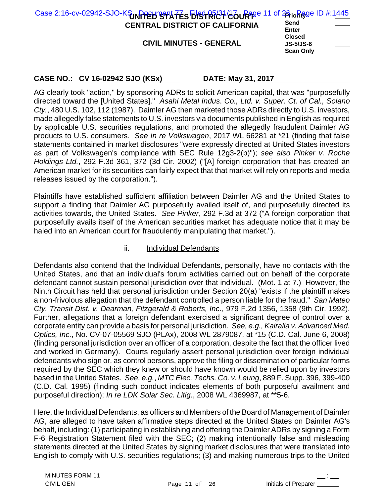| Case 2:16-cv-02942-SJO-KSUNPPEHTSPATES FIRST RICT (26 URTS 11 of 26 in Rage ID #:1445 | Send                                                  |                          |
|---------------------------------------------------------------------------------------|-------------------------------------------------------|--------------------------|
| <b>CENTRAL DISTRICT OF CALIFORNIA</b>                                                 | Enter                                                 | <b>Contract Contract</b> |
| <b>CIVIL MINUTES - GENERAL</b>                                                        | <b>Closed</b><br><b>JS-5/JS-6</b><br><b>Scan Only</b> | $\sim$ $\sim$            |

AG clearly took "action," by sponsoring ADRs to solicit American capital, that was "purposefully directed toward the [United States]." *Asahi Metal Indus*. *Co., Ltd. v. Super. Ct. of Cal., Solano Cty.*, 480 U.S. 102, 112 (1987). Daimler AG then marketed those ADRs directly to U.S. investors, made allegedly false statements to U.S. investors via documents published in English as required by applicable U.S. securities regulations, and promoted the allegedly fraudulent Daimler AG products to U.S. consumers. *See In re Volkswagen*, 2017 WL 66281 at \*21 (finding that false statements contained in market disclosures "were expressly directed at United States investors as part of Volkswagen's compliance with SEC Rule 12g3-2(b)"); *see also Pinker v. Roche Holdings Ltd.*, 292 F.3d 361, 372 (3d Cir. 2002) ("[A] foreign corporation that has created an American market for its securities can fairly expect that that market will rely on reports and media releases issued by the corporation.").

Plaintiffs have established sufficient affiliation between Daimler AG and the United States to support a finding that Daimler AG purposefully availed itself of, and purposefully directed its activities towards, the United States. *See Pinker*, 292 F.3d at 372 ("A foreign corporation that purposefully avails itself of the American securities market has adequate notice that it may be haled into an American court for fraudulently manipulating that market.").

## ii. Individual Defendants

Defendants also contend that the Individual Defendants, personally, have no contacts with the United States, and that an individual's forum activities carried out on behalf of the corporate defendant cannot sustain personal jurisdiction over that individual. (Mot. 1 at 7.) However, the Ninth Circuit has held that personal jurisdiction under Section 20(a) "exists if the plaintiff makes a non-frivolous allegation that the defendant controlled a person liable for the fraud." *San Mateo Cty. Transit Dist. v. Dearman, Fitzgerald & Roberts, Inc*., 979 F.2d 1356, 1358 (9th Cir. 1992). Further, allegations that a foreign defendant exercised a significant degree of control over a corporate entity can provide a basis for personal jurisdiction. *See, e.g., Kairalla v. Advanced Med. Optics, Inc.*, No. CV-07-05569 SJO (PLAx), 2008 WL 2879087, at \*15 (C.D. Cal. June 6, 2008) (finding personal jurisdiction over an officer of a corporation, despite the fact that the officer lived and worked in Germany). Courts regularly assert personal jurisdiction over foreign individual defendants who sign or, as control persons, approve the filing or dissemination of particular forms required by the SEC which they knew or should have known would be relied upon by investors based in the United States. *See, e.g.*, *MTC Elec. Techs. Co. v. Leung*, 889 F. Supp. 396, 399-400 (C.D. Cal. 1995) (finding such conduct indicates elements of both purposeful availment and purposeful direction); *In re LDK Solar Sec. Litig.*, 2008 WL 4369987, at \*\*5-6.

Here, the Individual Defendants, as officers and Members of the Board of Management of Daimler AG, are alleged to have taken affirmative steps directed at the United States on Daimler AG's behalf, including: (1) participating in establishing and offering the Daimler ADRs by signing a Form F-6 Registration Statement filed with the SEC; (2) making intentionally false and misleading statements directed at the United States by signing market disclosures that were translated into English to comply with U.S. securities regulations; (3) and making numerous trips to the United

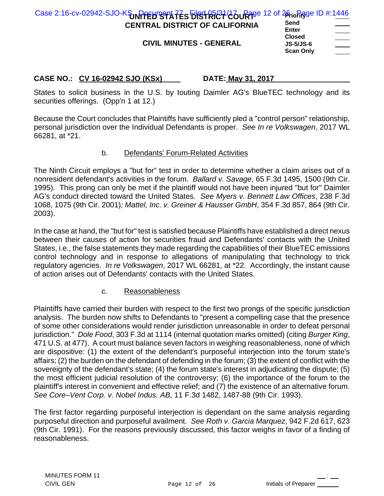| Case 2:16-cv-02942-SJO-KSUNPPEHTSPATES FIRSTRICT/COURTER 12 of 26to Rage ID #:1446 |                            |
|------------------------------------------------------------------------------------|----------------------------|
| <b>CENTRAL DISTRICT OF CALIFORNIA</b>                                              | Send<br><b>Enter</b>       |
| <b>CIVIL MINUTES - GENERAL</b>                                                     | <b>Closed</b><br>JS-5/JS-6 |

| <b>JS-5/JS-6</b> |  |
|------------------|--|
| <b>Scan Only</b> |  |

States to solicit business in the U.S. by touting Daimler AG's BlueTEC technology and its securities offerings. (Opp'n 1 at 12.)

Because the Court concludes that Plaintiffs have sufficiently pled a "control person" relationship, personal jurisdiction over the Individual Defendants is proper. *See In re Volkswagen*, 2017 WL 66281, at \*21.

## b. Defendants' Forum-Related Activities

The Ninth Circuit employs a "but for" test in order to determine whether a claim arises out of a nonresident defendant's activities in the forum. *Ballard v. Savage*, 65 F.3d 1495, 1500 (9th Cir. 1995). This prong can only be met if the plaintiff would not have been injured "but for" Daimler AG's conduct directed toward the United States. *See Myers v. Bennett Law Offices*, 238 F.3d 1068, 1075 (9th Cir. 2001)*; Mattel, Inc. v. Greiner & Hausser GmbH*, 354 F.3d 857, 864 (9th Cir. 2003).

In the case at hand, the "but for" test is satisfied because Plaintiffs have established a direct nexus between their causes of action for securities fraud and Defendants' contacts with the United States, i.e., the false statements they made regarding the capabilities of their BlueTEC emissions control technology and in response to allegations of manipulating that technology to trick regulatory agencies. *In re Volkswagen*, 2017 WL 66281, at \*22. Accordingly, the instant cause of action arises out of Defendants' contacts with the United States.

## c. Reasonableness

Plaintiffs have carried their burden with respect to the first two prongs of the specific jurisdiction analysis. The burden now shifts to Defendants to "present a compelling case that the presence of some other considerations would render jurisdiction unreasonable in order to defeat personal jurisdiction." *Dole Food*, 303 F.3d at 1114 (internal quotation marks omitted) (citing *Burger King*, 471 U.S. at 477). A court must balance seven factors in weighing reasonableness, none of which are dispositive: (1) the extent of the defendant's purposeful interjection into the forum state's affairs; (2) the burden on the defendant of defending in the forum; (3) the extent of conflict with the sovereignty of the defendant's state; (4) the forum state's interest in adjudicating the dispute; (5) the most efficient judicial resolution of the controversy; (6) the importance of the forum to the plaintiff's interest in convenient and effective relief; and (7) the existence of an alternative forum. *See Core–Vent Corp. v. Nobel Indus. AB*, 11 F.3d 1482, 1487-88 (9th Cir. 1993).

The first factor regarding purposeful interjection is dependant on the same analysis regarding purposeful direction and purposeful availment. *See Roth v. Garcia Marquez*, 942 F.2d 617, 623 (9th Cir. 1991). For the reasons previously discussed, this factor weighs in favor of a finding of reasonableness.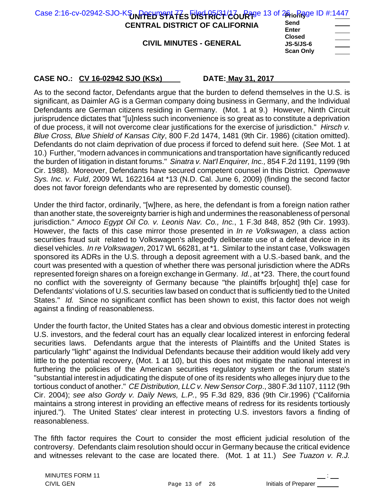| Case 2:16-cv-02942-SJO-KSUNPPEH STATES EIRSTRICT COURTS 13 of 26 in Rage ID #:1447<br><b>CENTRAL DISTRICT OF CALIFORNIA</b><br><b>CIVIL MINUTES - GENERAL</b> | Send<br><b>Enter</b><br><b>Closed</b><br><b>JS-5/JS-6</b><br><b>Scan Only</b> |
|---------------------------------------------------------------------------------------------------------------------------------------------------------------|-------------------------------------------------------------------------------|
|                                                                                                                                                               |                                                                               |

As to the second factor, Defendants argue that the burden to defend themselves in the U.S. is significant, as Daimler AG is a German company doing business in Germany, and the Individual Defendants are German citizens residing in Germany. (Mot. 1 at 9.) However, Ninth Circuit jurisprudence dictates that "[u]nless such inconvenience is so great as to constitute a deprivation of due process, it will not overcome clear justifications for the exercise of jurisdiction." *Hirsch v. Blue Cross, Blue Shield of Kansas City*, 800 F.2d 1474, 1481 (9th Cir. 1986) (citation omitted). Defendants do not claim deprivation of due process if forced to defend suit here. (*See* Mot. 1 at 10.) Further, "modern advances in communications and transportation have significantly reduced the burden of litigation in distant forums." *Sinatra v. Nat'l Enquirer, Inc.,* 854 F.2d 1191, 1199 (9th Cir. 1988). Moreover, Defendants have secured competent counsel in this District. *Openwave Sys. Inc. v. Fuld*, 2009 WL 1622164 at \*13 (N.D. Cal. June 6, 2009) (finding the second factor does not favor foreign defendants who are represented by domestic counsel).

Under the third factor, ordinarily, "[w]here, as here, the defendant is from a foreign nation rather than another state, the sovereignty barrier is high and undermines the reasonableness of personal jurisdiction." *Amoco Egypt Oil Co. v. Leonis Nav. Co., Inc.*, 1 F.3d 848, 852 (9th Cir. 1993). However, the facts of this case mirror those presented in *In re Volkswagen*, a class action securities fraud suit related to Volkswagen's allegedly deliberate use of a defeat device in its diesel vehicles. *In re Volkswagen*, 2017 WL 66281, at \*1. Similar to the instant case, Volkswagen sponsored its ADRs in the U.S. through a deposit agreement with a U.S.-based bank, and the court was presented with a question of whether there was personal jurisdiction where the ADRs represented foreign shares on a foreign exchange in Germany. *Id.*, at \*23. There, the court found no conflict with the sovereignty of Germany because "the plaintiffs br[ought] th[e] case for Defendants' violations of U.S. securities law based on conduct that is sufficiently tied to the United States." *Id.* Since no significant conflict has been shown to exist, this factor does not weigh against a finding of reasonableness.

Under the fourth factor, the United States has a clear and obvious domestic interest in protecting U.S. investors, and the federal court has an equally clear localized interest in enforcing federal securities laws. Defendants argue that the interests of Plaintiffs and the United States is particularly "light" against the Individual Defendants because their addition would likely add very little to the potential recovery, (Mot. 1 at 10), but this does not mitigate the national interest in furthering the policies of the American securities regulatory system or the forum state's "substantial interest in adjudicating the dispute of one of its residents who alleges injury due to the tortious conduct of another." *CE Distribution, LLC v. New Sensor Corp*., 380 F.3d 1107, 1112 (9th Cir. 2004); *see also Gordy v. Daily News, L.P.*, 95 F.3d 829, 836 (9th Cir.1996) ("California maintains a strong interest in providing an effective means of redress for its residents tortiously injured."). The United States' clear interest in protecting U.S. investors favors a finding of reasonableness.

The fifth factor requires the Court to consider the most efficient judicial resolution of the controversy. Defendants claim resolution should occur in Germany because the critical evidence and witnesses relevant to the case are located there. (Mot. 1 at 11.) *See Tuazon v. R.J.*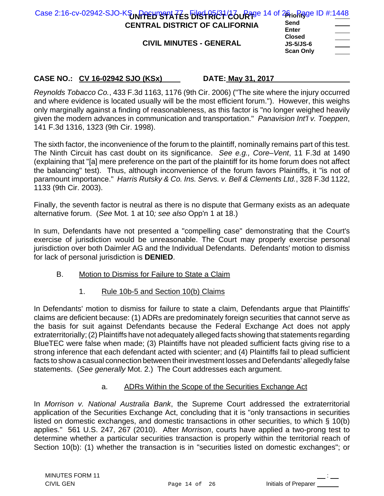| Case 2:16-cv-02942-SJO-KSUNPPEHTS TATES EIRSTRICT 46 URTS 14 of 26 in Regis ID #:1448 |                                                                                                                                                                                                                                                                                                                                                                                                                                                                                                    |
|---------------------------------------------------------------------------------------|----------------------------------------------------------------------------------------------------------------------------------------------------------------------------------------------------------------------------------------------------------------------------------------------------------------------------------------------------------------------------------------------------------------------------------------------------------------------------------------------------|
| <b>CENTRAL DISTRICT OF CALIFORNIA</b>                                                 | Send<br>$\frac{1}{2} \left( \frac{1}{2} \right) \left( \frac{1}{2} \right) \left( \frac{1}{2} \right) \left( \frac{1}{2} \right) \left( \frac{1}{2} \right) \left( \frac{1}{2} \right) \left( \frac{1}{2} \right) \left( \frac{1}{2} \right) \left( \frac{1}{2} \right) \left( \frac{1}{2} \right) \left( \frac{1}{2} \right) \left( \frac{1}{2} \right) \left( \frac{1}{2} \right) \left( \frac{1}{2} \right) \left( \frac{1}{2} \right) \left( \frac{1}{2} \right) \left( \frac$<br><b>Enter</b> |
| <b>CIVIL MINUTES - GENERAL</b>                                                        | <b>Closed</b><br>______<br><b>JS-5/JS-6</b><br><b>Scan Only</b>                                                                                                                                                                                                                                                                                                                                                                                                                                    |

*Reynolds Tobacco Co.*, 433 F.3d 1163, 1176 (9th Cir. 2006) ("The site where the injury occurred and where evidence is located usually will be the most efficient forum."). However, this weighs only marginally against a finding of reasonableness, as this factor is "no longer weighed heavily given the modern advances in communication and transportation." *Panavision Int'l v. Toeppen*, 141 F.3d 1316, 1323 (9th Cir. 1998).

The sixth factor, the inconvenience of the forum to the plaintiff, nominally remains part of this test. The Ninth Circuit has cast doubt on its significance. *See e.g., Core–Vent*, 11 F.3d at 1490 (explaining that "[a] mere preference on the part of the plaintiff for its home forum does not affect the balancing" test). Thus, although inconvenience of the forum favors Plaintiffs, it "is not of paramount importance." *Harris Rutsky & Co. Ins. Servs. v. Bell & Clements Ltd.*, 328 F.3d 1122, 1133 (9th Cir. 2003).

Finally, the seventh factor is neutral as there is no dispute that Germany exists as an adequate alternative forum. (*See* Mot. 1 at 10*; see also* Opp'n 1 at 18.)

In sum, Defendants have not presented a "compelling case" demonstrating that the Court's exercise of jurisdiction would be unreasonable. The Court may properly exercise personal jurisdiction over both Daimler AG and the Individual Defendants. Defendants' motion to dismiss for lack of personal jurisdiction is **DENIED**.

- B. Motion to Dismiss for Failure to State a Claim
	- 1. Rule 10b-5 and Section 10(b) Claims

In Defendants' motion to dismiss for failure to state a claim, Defendants argue that Plaintiffs' claims are deficient because: (1) ADRs are predominately foreign securities that cannot serve as the basis for suit against Defendants because the Federal Exchange Act does not apply extraterritorially; (2) Plaintiffs have not adequately alleged facts showing that statements regarding BlueTEC were false when made; (3) Plaintiffs have not pleaded sufficient facts giving rise to a strong inference that each defendant acted with scienter; and (4) Plaintiffs fail to plead sufficient facts to show a casual connection between their investment losses and Defendants' allegedly false statements. (*See generally* Mot. 2.) The Court addresses each argument.

## a. ADRs Within the Scope of the Securities Exchange Act

In *Morrison v. National Australia Bank*, the Supreme Court addressed the extraterritorial application of the Securities Exchange Act, concluding that it is "only transactions in securities listed on domestic exchanges, and domestic transactions in other securities, to which § 10(b) applies." 561 U.S. 247, 267 (2010). After *Morrison*, courts have applied a two-prong test to determine whether a particular securities transaction is properly within the territorial reach of Section 10(b): (1) whether the transaction is in "securities listed on domestic exchanges"; or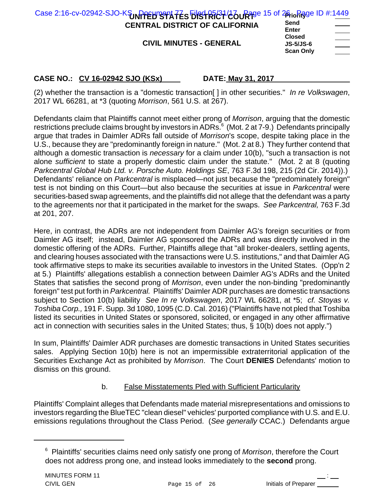| Case 2:16-cv-02942-SJO-KSUNPPEHTS TATES EIRSTRICT COURTS 15 of 26 in Rage ID #:1449<br><b>CENTRAL DISTRICT OF CALIFORNIA</b> | Send<br><b>Enter</b>                                                                                  |  |
|------------------------------------------------------------------------------------------------------------------------------|-------------------------------------------------------------------------------------------------------|--|
| <b>CIVIL MINUTES - GENERAL</b>                                                                                               | <b>Closed</b><br><b>JS-5/JS-6</b><br>$\hspace{1.5cm} \overbrace{\hspace{1.5cm} }$<br><b>Scan Only</b> |  |

(2) whether the transaction is a "domestic transaction[ ] in other securities." *In re Volkswagen*, 2017 WL 66281, at \*3 (quoting *Morrison*, 561 U.S. at 267).

Defendants claim that Plaintiffs cannot meet either prong of *Morrison*, arguing that the domestic restrictions preclude claims brought by investors in ADRs.<sup>6</sup> (Mot. 2 at 7-9.) Defendants principally argue that trades in Daimler ADRs fall outside of *Morrison*'s scope, despite taking place in the U.S., because they are "predominantly foreign in nature." (Mot. 2 at 8.) They further contend that although a domestic transaction is *necessary* for a claim under 10(b), "such a transaction is not alone *sufficient* to state a properly domestic claim under the statute." (Mot. 2 at 8 (quoting *Parkcentral Global Hub Ltd. v. Porsche Auto. Holdings SE*, 763 F.3d 198, 215 (2d Cir. 2014)).) Defendants' reliance on *Parkcentral* is misplaced—not just because the "predominately foreign" test is not binding on this Court—but also because the securities at issue in *Parkcentral* were securities-based swap agreements, and the plaintiffs did not allege that the defendant was a party to the agreements nor that it participated in the market for the swaps. *See Parkcentral,* 763 F.3d at 201, 207.

Here, in contrast, the ADRs are not independent from Daimler AG's foreign securities or from Daimler AG itself; instead, Daimler AG sponsored the ADRs and was directly involved in the domestic offering of the ADRs. Further, Plaintiffs allege that "all broker-dealers, settling agents, and clearing houses associated with the transactions were U.S. institutions," and that Daimler AG took affirmative steps to make its securities available to investors in the United States. (Opp'n 2 at 5.) Plaintiffs' allegations establish a connection between Daimler AG's ADRs and the United States that satisfies the second prong of *Morrison*, even under the non-binding "predominantly foreign" test put forth in *Parkcentral.* Plaintiffs' Daimler ADR purchases are domestic transactions subject to Section 10(b) liability *See In re Volkswagen*, 2017 WL 66281, at \*5; *cf. Stoyas v. Toshiba Corp.,* 191 F. Supp. 3d 1080, 1095 (C.D. Cal. 2016) ("Plaintiffs have not pled that Toshiba listed its securities in United States or sponsored, solicited, or engaged in any other affirmative act in connection with securities sales in the United States; thus, § 10(b) does not apply.")

In sum, Plaintiffs' Daimler ADR purchases are domestic transactions in United States securities sales. Applying Section 10(b) here is not an impermissible extraterritorial application of the Securities Exchange Act as prohibited by *Morrison*. The Court **DENIES** Defendants' motion to dismiss on this ground.

## b. False Misstatements Pled with Sufficient Particularity

Plaintiffs' Complaint alleges that Defendants made material misrepresentations and omissions to investors regarding the BlueTEC "clean diesel" vehicles' purported compliance with U.S. and E.U. emissions regulations throughout the Class Period. (*See generally* CCAC.) Defendants argue

<sup>6</sup> Plaintiffs' securities claims need only satisfy one prong of *Morrison*, therefore the Court does not address prong one, and instead looks immediately to the **second** prong.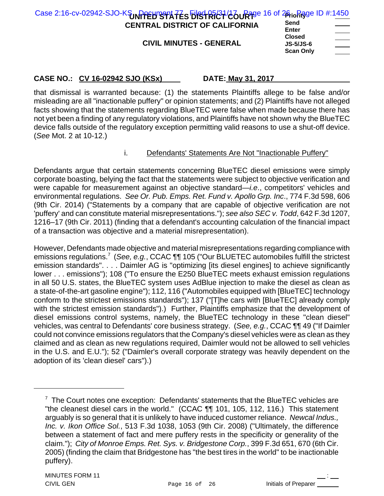| Case 2:16-cv-02942-SJO-KSUNPPEHTS TATES FIRST RICT (26 URTS 16 of 26 in Rage ID #:1450 |                                                       |
|----------------------------------------------------------------------------------------|-------------------------------------------------------|
| <b>CENTRAL DISTRICT OF CALIFORNIA</b>                                                  | Send<br><b>Enter</b>                                  |
| <b>CIVIL MINUTES - GENERAL</b>                                                         | <b>Closed</b><br><b>JS-5/JS-6</b><br><b>Scan Only</b> |

that dismissal is warranted because: (1) the statements Plaintiffs allege to be false and/or misleading are all "inactionable puffery" or opinion statements; and (2) Plaintiffs have not alleged facts showing that the statements regarding BlueTEC were false when made because there has not yet been a finding of any regulatory violations, and Plaintiffs have not shown why the BlueTEC device falls outside of the regulatory exception permitting valid reasons to use a shut-off device. (*See* Mot. 2 at 10-12.)

## i. Defendants' Statements Are Not "Inactionable Puffery"

Defendants argue that certain statements concerning BlueTEC diesel emissions were simply corporate boasting, belying the fact that the statements were subject to objective verification and were capable for measurement against an objective standard—*i.e*., competitors' vehicles and environmental regulations. *See Or. Pub. Emps. Ret. Fund v. Apollo Grp. Inc*., 774 F.3d 598, 606 (9th Cir. 2014) ("Statements by a company that are capable of objective verification are not 'puffery' and can constitute material misrepresentations."); *see also SEC v. Todd*, 642 F.3d 1207, 1216–17 (9th Cir. 2011) (finding that a defendant's accounting calculation of the financial impact of a transaction was objective and a material misrepresentation).

However, Defendants made objective and material misrepresentations regarding compliance with emissions regulations.<sup>7</sup> (See, e.g., CCAC ¶¶ 105 ("Our BLUETEC automobiles fulfill the strictest emission standards". . . . Daimler AG is "optimizing [its diesel engines] to achieve significantly lower . . . emissions"); 108 ("To ensure the E250 BlueTEC meets exhaust emission regulations in all 50 U.S. states, the BlueTEC system uses AdBlue injection to make the diesel as clean as a state-of-the-art gasoline engine"); 112, 116 ("Automobiles equipped with [BlueTEC] technology conform to the strictest emissions standards"); 137 ("[T]he cars with [BlueTEC] already comply with the strictest emission standards").) Further, Plaintiffs emphasize that the development of diesel emissions control systems, namely, the BlueTEC technology in these "clean diesel" vehicles, was central to Defendants' core business strategy. (*See, e.g.*, CCAC ¶¶ 49 ("If Daimler could not convince emissions regulators that the Company's diesel vehicles were as clean as they claimed and as clean as new regulations required, Daimler would not be allowed to sell vehicles in the U.S. and E.U."); 52 ("Daimler's overall corporate strategy was heavily dependent on the adoption of its 'clean diesel' cars").)

 $7$  The Court notes one exception: Defendants' statements that the BlueTEC vehicles are "the cleanest diesel cars in the world." (CCAC ¶¶ 101, 105, 112, 116.) This statement arguably is so general that it is unlikely to have induced customer reliance. *Newcal Indus., Inc. v. Ikon Office Sol.*, 513 F.3d 1038, 1053 (9th Cir. 2008) ("Ultimately, the difference between a statement of fact and mere puffery rests in the specificity or generality of the claim."); *City of Monroe Emps. Ret. Sys. v. Bridgestone Corp.*, 399 F.3d 651, 670 (6th Cir. 2005) (finding the claim that Bridgestone has "the best tires in the world" to be inactionable puffery).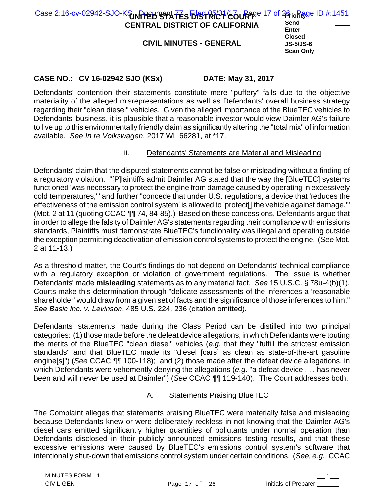| Case 2:16-cv-02942-SJO-KSUNPPEHTSPATES FIRST RICT (26 URTS 17 of 26 in Rage ID #:1451<br><b>CENTRAL DISTRICT OF CALIFORNIA</b><br><b>CIVIL MINUTES - GENERAL</b> | Send<br><b>Enter</b><br><b>Closed</b><br><b>JS-5/JS-6</b> | $\overline{\phantom{a}}$<br>_____ |
|------------------------------------------------------------------------------------------------------------------------------------------------------------------|-----------------------------------------------------------|-----------------------------------|
|                                                                                                                                                                  | <b>Scan Only</b>                                          |                                   |

Defendants' contention their statements constitute mere "puffery" fails due to the objective materiality of the alleged misrepresentations as well as Defendants' overall business strategy regarding their "clean diesel" vehicles. Given the alleged importance of the BlueTEC vehicles to Defendants' business, it is plausible that a reasonable investor would view Daimler AG's failure to live up to this environmentally friendly claim as significantly altering the "total mix" of information available. *See In re Volkswagen*, 2017 WL 66281, at \*17.

## ii. Defendants' Statements are Material and Misleading

Defendants' claim that the disputed statements cannot be false or misleading without a finding of a regulatory violation. "[P]laintiffs admit Daimler AG stated that the way the [BlueTEC] systems functioned 'was necessary to protect the engine from damage caused by operating in excessively cold temperatures,'" and further "concede that under U.S. regulations, a device that 'reduces the effectiveness of the emission control system' is allowed to 'protect[] the vehicle against damage.'" (Mot. 2 at 11 (quoting CCAC ¶¶ 74, 84-85).) Based on these concessions, Defendants argue that in order to allege the falsity of Daimler AG's statements regarding their compliance with emissions standards, Plaintiffs must demonstrate BlueTEC's functionality was illegal and operating outside the exception permitting deactivation of emission control systems to protect the engine. (*See* Mot. 2 at 11-13.)

As a threshold matter, the Court's findings do not depend on Defendants' technical compliance with a regulatory exception or violation of government regulations. The issue is whether Defendants' made **misleading** statements as to any material fact. *See* 15 U.S.C. § 78u-4(b)(1). Courts make this determination through "delicate assessments of the inferences a 'reasonable shareholder' would draw from a given set of facts and the significance of those inferences to him." *See Basic Inc. v. Levinson*, 485 U.S. 224, 236 (citation omitted).

Defendants' statements made during the Class Period can be distilled into two principal categories: (1) those made before the defeat device allegations, in which Defendants were touting the merits of the BlueTEC "clean diesel" vehicles (*e.g.* that they "fulfill the strictest emission standards" and that BlueTEC made its "diesel [cars] as clean as state-of-the-art gasoline engine[s]") (*See* CCAC ¶¶ 100-118); and (2) those made after the defeat device allegations, in which Defendants were vehemently denying the allegations (*e.g*. "a defeat device . . . has never been and will never be used at Daimler") (*See* CCAC ¶¶ 119-140). The Court addresses both.

## A. Statements Praising BlueTEC

The Complaint alleges that statements praising BlueTEC were materially false and misleading because Defendants knew or were deliberately reckless in not knowing that the Daimler AG's diesel cars emitted significantly higher quantities of pollutants under normal operation than Defendants disclosed in their publicly announced emissions testing results, and that these excessive emissions were caused by BlueTEC's emissions control system's software that intentionally shut-down that emissions control system under certain conditions. (*See, e.g.*, CCAC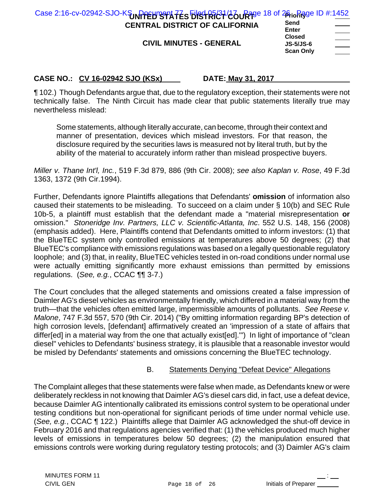| Case 2:16-cv-02942-SJO-KSUNPPEHTSPATES FIRSTRICT/COURTER 18 of 26 in Rage ID #:1452<br><b>CENTRAL DISTRICT OF CALIFORNIA</b> | Send                                                           |  |
|------------------------------------------------------------------------------------------------------------------------------|----------------------------------------------------------------|--|
| <b>CIVIL MINUTES - GENERAL</b>                                                                                               | Enter<br><b>Closed</b><br><b>JS-5/JS-6</b><br><b>Scan Only</b> |  |

¶ 102.) Though Defendants argue that, due to the regulatory exception, their statements were not technically false. The Ninth Circuit has made clear that public statements literally true may nevertheless mislead:

Some statements, although literally accurate, can become, through their context and manner of presentation, devices which mislead investors. For that reason, the disclosure required by the securities laws is measured not by literal truth, but by the ability of the material to accurately inform rather than mislead prospective buyers.

*Miller v. Thane Int'l, Inc.*, 519 F.3d 879, 886 (9th Cir. 2008); *see also Kaplan v. Rose*, 49 F.3d 1363, 1372 (9th Cir.1994).

Further, Defendants ignore Plaintiffs allegations that Defendants' **omission** of information also caused their statements to be misleading. To succeed on a claim under § 10(b) and SEC Rule 10b-5, a plaintiff must establish that the defendant made a "material misrepresentation **or** omission." *Stoneridge Inv. Partners, LLC v. Scientific-Atlanta, Inc*. 552 U.S. 148, 156 (2008) (emphasis added). Here, Plaintiffs contend that Defendants omitted to inform investors: (1) that the BlueTEC system only controlled emissions at temperatures above 50 degrees; (2) that BlueTEC's compliance with emissions regulations was based on a legally questionable regulatory loophole; and (3) that, in reality, BlueTEC vehicles tested in on-road conditions under normal use were actually emitting significantly more exhaust emissions than permitted by emissions regulations. (*See, e.g.*, CCAC ¶¶ 3-7.)

The Court concludes that the alleged statements and omissions created a false impression of Daimler AG's diesel vehicles as environmentally friendly, which differed in a material way from the truth—that the vehicles often emitted large, impermissible amounts of pollutants. *See Reese v. Malone*, 747 F.3d 557, 570 (9th Cir. 2014) ("By omitting information regarding BP's detection of high corrosion levels, [defendant] affirmatively created an 'impression of a state of affairs that differ[ed] in a material way from the one that actually exist[ed]."") In light of importance of "clean diesel" vehicles to Defendants' business strategy, it is plausible that a reasonable investor would be misled by Defendants' statements and omissions concerning the BlueTEC technology.

## B. Statements Denying "Defeat Device" Allegations

The Complaint alleges that these statements were false when made, as Defendants knew or were deliberately reckless in not knowing that Daimler AG's diesel cars did, in fact, use a defeat device, because Daimler AG intentionally calibrated its emissions control system to be operational under testing conditions but non-operational for significant periods of time under normal vehicle use. (*See, e.g.*, CCAC ¶ 122.) Plaintiffs allege that Daimler AG acknowledged the shut-off device in February 2016 and that regulations agencies verified that: (1) the vehicles produced much higher levels of emissions in temperatures below 50 degrees; (2) the manipulation ensured that emissions controls were working during regulatory testing protocols; and (3) Daimler AG's claim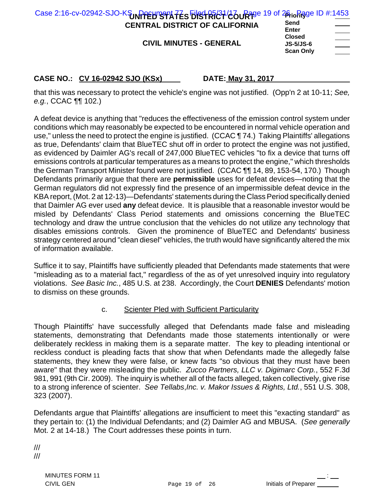| Case 2:16-cv-02942-SJO-KSUNPPEHTSPIATES EIRSTRICT/COURTER 19 of 26 to Rage ID #:1453<br><b>CENTRAL DISTRICT OF CALIFORNIA</b> | Send<br>Enter                                                                     |  |
|-------------------------------------------------------------------------------------------------------------------------------|-----------------------------------------------------------------------------------|--|
| <b>CIVIL MINUTES - GENERAL</b>                                                                                                | <b>Closed</b><br><b>JS-5/JS-6</b><br>$\overline{\phantom{a}}$<br><b>Scan Only</b> |  |

that this was necessary to protect the vehicle's engine was not justified. (Opp'n 2 at 10-11; *See, e.g.*, CCAC ¶¶ 102.)

A defeat device is anything that "reduces the effectiveness of the emission control system under conditions which may reasonably be expected to be encountered in normal vehicle operation and use," unless the need to protect the engine is justified. (CCAC ¶ 74.) Taking Plaintiffs' allegations as true, Defendants' claim that BlueTEC shut off in order to protect the engine was not justified, as evidenced by Daimler AG's recall of 247,000 BlueTEC vehicles "to fix a device that turns off emissions controls at particular temperatures as a means to protect the engine," which thresholds the German Transport Minister found were not justified. (CCAC ¶¶ 14, 89, 153-54, 170.) Though Defendants primarily argue that there are **permissible** uses for defeat devices—noting that the German regulators did not expressly find the presence of an impermissible defeat device in the KBA report, (Mot. 2 at 12-13)—Defendants' statements during the Class Period specifically denied that Daimler AG ever used **any** defeat device. It is plausible that a reasonable investor would be misled by Defendants' Class Period statements and omissions concerning the BlueTEC technology and draw the untrue conclusion that the vehicles do not utilize any technology that disables emissions controls. Given the prominence of BlueTEC and Defendants' business strategy centered around "clean diesel" vehicles, the truth would have significantly altered the mix of information available.

Suffice it to say, Plaintiffs have sufficiently pleaded that Defendants made statements that were "misleading as to a material fact," regardless of the as of yet unresolved inquiry into regulatory violations. *See Basic Inc.*, 485 U.S. at 238. Accordingly, the Court **DENIES** Defendants' motion to dismiss on these grounds.

## c. Scienter Pled with Sufficient Particularity

Though Plaintiffs' have successfully alleged that Defendants made false and misleading statements, demonstrating that Defendants made those statements intentionally or were deliberately reckless in making them is a separate matter. The key to pleading intentional or reckless conduct is pleading facts that show that when Defendants made the allegedly false statements, they knew they were false, or knew facts "so obvious that they must have been aware" that they were misleading the public. *Zucco Partners, LLC v. Digimarc Corp.*, 552 F.3d 981, 991 (9th Cir. 2009). The inquiry is whether all of the facts alleged, taken collectively, give rise to a strong inference of scienter. *See Tellabs*,*Inc. v. Makor Issues & Rights, Ltd.*, 551 U.S. 308, 323 (2007).

Defendants argue that Plaintiffs' allegations are insufficient to meet this "exacting standard" as they pertain to: (1) the Individual Defendants; and (2) Daimler AG and MBUSA. (*See generally* Mot. 2 at 14-18.) The Court addresses these points in turn.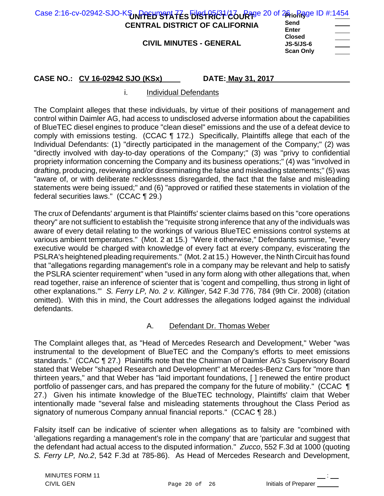| Case 2:16-cv-02942-SJO-KSUNPPEHTS TATES EIRSTRICT COURTS 20 of 26 to Rage ID #:1454<br><b>CENTRAL DISTRICT OF CALIFORNIA</b><br><b>CIVIL MINUTES - GENERAL</b> | Send<br>Enter<br><b>Closed</b><br><b>JS-5/JS-6</b> |  |
|----------------------------------------------------------------------------------------------------------------------------------------------------------------|----------------------------------------------------|--|
|                                                                                                                                                                | <b>Scan Only</b>                                   |  |

### i. Individual Defendants

The Complaint alleges that these individuals, by virtue of their positions of management and control within Daimler AG, had access to undisclosed adverse information about the capabilities of BlueTEC diesel engines to produce "clean diesel" emissions and the use of a defeat device to comply with emissions testing. (CCAC ¶ 172.) Specifically, Plaintiffs allege that each of the Individual Defendants: (1) "directly participated in the management of the Company;" (2) was "directly involved with day-to-day operations of the Company;" (3) was "privy to confidential propriety information concerning the Company and its business operations;" (4) was "involved in drafting, producing, reviewing and/or disseminating the false and misleading statements;" (5) was "aware of, or with deliberate recklessness disregarded, the fact that the false and misleading statements were being issued;" and (6) "approved or ratified these statements in violation of the federal securities laws." (CCAC ¶ 29.)

The crux of Defendants' argument is that Plaintiffs' scienter claims based on this "core operations theory" are not sufficient to establish the "requisite strong inference that any of the individuals was aware of every detail relating to the workings of various BlueTEC emissions control systems at various ambient temperatures." (Mot. 2 at 15.) "Were it otherwise," Defendants surmise, "every executive would be charged with knowledge of every fact at every company, eviscerating the PSLRA's heightened pleading requirements." (Mot. 2 at 15.) However, the Ninth Circuit has found that "allegations regarding management's role in a company may be relevant and help to satisfy the PSLRA scienter requirement" when "used in any form along with other allegations that, when read together, raise an inference of scienter that is 'cogent and compelling, thus strong in light of other explanations.'" *S. Ferry LP, No. 2 v. Killinger*, 542 F.3d 776, 784 (9th Cir. 2008) (citation omitted). With this in mind, the Court addresses the allegations lodged against the individual defendants.

## A. Defendant Dr. Thomas Weber

The Complaint alleges that, as "Head of Mercedes Research and Development," Weber "was instrumental to the development of BlueTEC and the Company's efforts to meet emissions standards." (CCAC ¶ 27.) Plaintiffs note that the Chairman of Daimler AG's Supervisory Board stated that Weber "shaped Research and Development" at Mercedes-Benz Cars for "more than thirteen years," and that Weber has "laid important foundations, [ ] renewed the entire product portfolio of passenger cars, and has prepared the company for the future of mobility." (CCAC ¶ 27.) Given his intimate knowledge of the BlueTEC technology, Plaintiffs' claim that Weber intentionally made "several false and misleading statements throughout the Class Period as signatory of numerous Company annual financial reports." (CCAC ¶ 28.)

Falsity itself can be indicative of scienter when allegations as to falsity are "combined with 'allegations regarding a management's role in the company' that are 'particular and suggest that the defendant had actual access to the disputed information." *Zucco*, 552 F.3d at 1000 (quoting *S. Ferry LP, No.2*, 542 F.3d at 785-86). As Head of Mercedes Research and Development,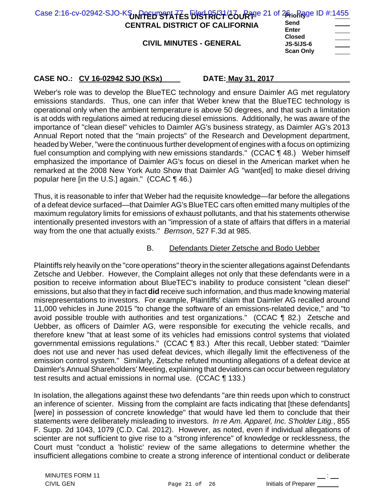| Case 2:16-cv-02942-SJO-KSUNPPEH STATES EISTRICT 26 URT 24 of 26 in Registe ID #:1455<br>Send<br><b>CENTRAL DISTRICT OF CALIFORNIA</b><br>Enter<br>$\hspace{1.5cm} \overbrace{\hspace{1.5cm} }$<br><b>Closed</b><br><b>CIVIL MINUTES - GENERAL</b><br><b>JS-5/JS-6</b><br><b>Scan Only</b><br>$\sim$ |  |
|-----------------------------------------------------------------------------------------------------------------------------------------------------------------------------------------------------------------------------------------------------------------------------------------------------|--|
|-----------------------------------------------------------------------------------------------------------------------------------------------------------------------------------------------------------------------------------------------------------------------------------------------------|--|

Weber's role was to develop the BlueTEC technology and ensure Daimler AG met regulatory emissions standards. Thus, one can infer that Weber knew that the BlueTEC technology is operational only when the ambient temperature is above 50 degrees, and that such a limitation is at odds with regulations aimed at reducing diesel emissions. Additionally, he was aware of the importance of "clean diesel" vehicles to Daimler AG's business strategy, as Daimler AG's 2013 Annual Report noted that the "main projects" of the Research and Development department, headed by Weber, "were the continuous further development of engines with a focus on optimizing fuel consumption and complying with new emissions standards." (CCAC ¶ 48.) Weber himself emphasized the importance of Daimler AG's focus on diesel in the American market when he remarked at the 2008 New York Auto Show that Daimler AG "want[ed] to make diesel driving popular here [in the U.S.] again." (CCAC ¶ 46.)

Thus, it is reasonable to infer that Weber had the requisite knowledge—far before the allegations of a defeat device surfaced—that Daimler AG's BlueTEC cars often emitted many multiples of the maximum regulatory limits for emissions of exhaust pollutants, and that his statements otherwise intentionally presented investors with an "impression of a state of affairs that differs in a material way from the one that actually exists." *Bernson*, 527 F.3d at 985.

## B. Defendants Dieter Zetsche and Bodo Uebber

Plaintiffs rely heavily on the "core operations" theory in the scienter allegations against Defendants Zetsche and Uebber. However, the Complaint alleges not only that these defendants were in a position to receive information about BlueTEC's inability to produce consistent "clean diesel" emissions, but also that they in fact **did** receive such information, and thus made knowing material misrepresentations to investors. For example, Plaintiffs' claim that Daimler AG recalled around 11,000 vehicles in June 2015 "to change the software of an emissions-related device," and "to avoid possible trouble with authorities and test organizations." (CCAC ¶ 82.) Zetsche and Uebber, as officers of Daimler AG, were responsible for executing the vehicle recalls, and therefore knew "that at least some of its vehicles had emissions control systems that violated governmental emissions regulations." (CCAC ¶ 83.) After this recall, Uebber stated: "Daimler does not use and never has used defeat devices, which illegally limit the effectiveness of the emission control system." Similarly, Zetsche refuted mounting allegations of a defeat device at Daimler's Annual Shareholders' Meeting, explaining that deviations can occur between regulatory test results and actual emissions in normal use. (CCAC ¶ 133.)

In isolation, the allegations against these two defendants "are thin reeds upon which to construct an inference of scienter. Missing from the complaint are facts indicating that [these defendants] [were] in possession of concrete knowledge" that would have led them to conclude that their statements were deliberately misleading to investors. *In re Am. Apparel, Inc. S'holder Litig.*, 855 F. Supp. 2d 1043, 1079 (C.D. Cal. 2012). However, as noted, even if individual allegations of scienter are not sufficient to give rise to a "strong inference" of knowledge or recklessness, the Court must "conduct a 'holistic' review of the same allegations to determine whether the insufficient allegations combine to create a strong inference of intentional conduct or deliberate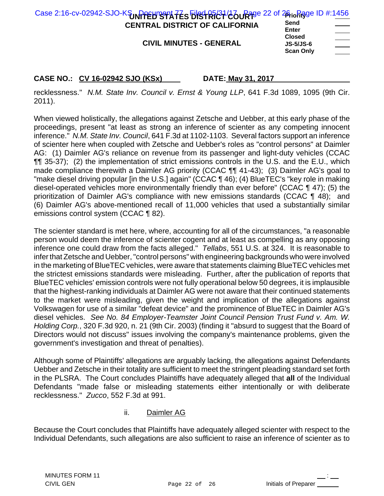| Enter<br><b>Closed</b><br><b>CIVIL MINUTES - GENERAL</b><br><b>JS-5/JS-6</b><br>$\overbrace{\hspace{27mm}}^{2}$<br><b>Scan Only</b> | Case 2:16-cv-02942-SJO-KSUNPPEHTS TATES EIRSTRICT COURTS 22 of 26 to Figge ID #:1456<br><b>CENTRAL DISTRICT OF CALIFORNIA</b> | Send |  |
|-------------------------------------------------------------------------------------------------------------------------------------|-------------------------------------------------------------------------------------------------------------------------------|------|--|
|-------------------------------------------------------------------------------------------------------------------------------------|-------------------------------------------------------------------------------------------------------------------------------|------|--|

recklessness." *N.M. State Inv. Council v. Ernst & Young LLP*, 641 F.3d 1089, 1095 (9th Cir. 2011).

When viewed holistically, the allegations against Zetsche and Uebber, at this early phase of the proceedings, present "at least as strong an inference of scienter as any competing innocent inference." *N.M. State Inv. Council*, 641 F.3d at 1102-1103. Several factors support an inference of scienter here when coupled with Zetsche and Uebber's roles as "control persons" at Daimler AG: (1) Daimler AG's reliance on revenue from its passenger and light-duty vehicles (CCAC ¶¶ 35-37); (2) the implementation of strict emissions controls in the U.S. and the E.U., which made compliance therewith a Daimler AG priority (CCAC TT 41-43); (3) Daimler AG's goal to "make diesel driving popular [in the U.S.] again" (CCAC 146); (4) BlueTEC's "key role in making diesel-operated vehicles more environmentally friendly than ever before" (CCAC ¶ 47); (5) the prioritization of Daimler AG's compliance with new emissions standards (CCAC ¶ 48); and (6) Daimler AG's above-mentioned recall of 11,000 vehicles that used a substantially similar emissions control system (CCAC ¶ 82).

The scienter standard is met here, where, accounting for all of the circumstances, "a reasonable person would deem the inference of scienter cogent and at least as compelling as any opposing inference one could draw from the facts alleged." *Tellabs*, 551 U.S. at 324. It is reasonable to infer that Zetsche and Uebber, "control persons" with engineering backgrounds who were involved in the marketing of BlueTEC vehicles, were aware that statements claiming BlueTEC vehicles met the strictest emissions standards were misleading. Further, after the publication of reports that BlueTEC vehicles' emission controls were not fully operational below 50 degrees, it is implausible that the highest-ranking individuals at Daimler AG were not aware that their continued statements to the market were misleading, given the weight and implication of the allegations against Volkswagen for use of a similar "defeat device" and the prominence of BlueTEC in Daimler AG's diesel vehicles. *See No. 84 Employer-Teamster Joint Council Pension Trust Fund v. Am. W. Holding Corp.*, 320 F.3d 920, n. 21 (9th Cir. 2003) (finding it "absurd to suggest that the Board of Directors would not discuss" issues involving the company's maintenance problems, given the government's investigation and threat of penalties).

Although some of Plaintiffs' allegations are arguably lacking, the allegations against Defendants Uebber and Zetsche in their totality are sufficient to meet the stringent pleading standard set forth in the PLSRA. The Court concludes Plaintiffs have adequately alleged that **all** of the Individual Defendants "made false or misleading statements either intentionally or with deliberate recklessness." *Zucco*, 552 F.3d at 991.

ii. Daimler AG

Because the Court concludes that Plaintiffs have adequately alleged scienter with respect to the Individual Defendants, such allegations are also sufficient to raise an inference of scienter as to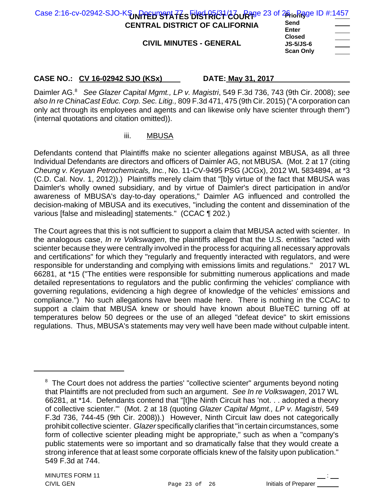| Case 2:16-cv-02942-SJO-KSUNPPEHTS TATES EIRC BECT 26 of 26 in Regis ID #:1457<br><b>CENTRAL DISTRICT OF CALIFORNIA</b><br><b>CIVIL MINUTES - GENERAL</b> | Send<br><b>Enter</b><br><b>Closed</b><br><b>JS-5/JS-6</b> | $\frac{1}{2} \left( \frac{1}{2} \right) \left( \frac{1}{2} \right) \left( \frac{1}{2} \right) \left( \frac{1}{2} \right) \left( \frac{1}{2} \right) \left( \frac{1}{2} \right) \left( \frac{1}{2} \right) \left( \frac{1}{2} \right) \left( \frac{1}{2} \right) \left( \frac{1}{2} \right) \left( \frac{1}{2} \right) \left( \frac{1}{2} \right) \left( \frac{1}{2} \right) \left( \frac{1}{2} \right) \left( \frac{1}{2} \right) \left( \frac{1}{2} \right) \left( \frac$ |
|----------------------------------------------------------------------------------------------------------------------------------------------------------|-----------------------------------------------------------|----------------------------------------------------------------------------------------------------------------------------------------------------------------------------------------------------------------------------------------------------------------------------------------------------------------------------------------------------------------------------------------------------------------------------------------------------------------------------|
|                                                                                                                                                          | <b>Scan Only</b>                                          |                                                                                                                                                                                                                                                                                                                                                                                                                                                                            |

Daimler AG.<sup>8</sup> *See Glazer Capital Mgmt., LP v. Magistri*, 549 F.3d 736, 743 (9th Cir. 2008); *see also In re ChinaCast Educ. Corp. Sec. Litig.,* 809 F.3d 471, 475 (9th Cir. 2015) ("A corporation can only act through its employees and agents and can likewise only have scienter through them") (internal quotations and citation omitted)).

## iii. MBUSA

Defendants contend that Plaintiffs make no scienter allegations against MBUSA, as all three Individual Defendants are directors and officers of Daimler AG, not MBUSA. (Mot. 2 at 17 (citing *Cheung v. Keyuan Petrochemicals, Inc.*, No. 11-CV-9495 PSG (JCGx), 2012 WL 5834894, at \*3 (C.D. Cal. Nov. 1, 2012)).) Plaintiffs merely claim that "[b]y virtue of the fact that MBUSA was Daimler's wholly owned subsidiary, and by virtue of Daimler's direct participation in and/or awareness of MBUSA's day-to-day operations," Daimler AG influenced and controlled the decision-making of MBUSA and its executives, "including the content and dissemination of the various [false and misleading] statements." (CCAC ¶ 202.)

The Court agrees that this is not sufficient to support a claim that MBUSA acted with scienter. In the analogous case, *In re Volkswagen*, the plaintiffs alleged that the U.S. entities "acted with scienter because they were centrally involved in the process for acquiring all necessary approvals and certifications" for which they "regularly and frequently interacted with regulators, and were responsible for understanding and complying with emissions limits and regulations." 2017 WL 66281, at \*15 ("The entities were responsible for submitting numerous applications and made detailed representations to regulators and the public confirming the vehicles' compliance with governing regulations, evidencing a high degree of knowledge of the vehicles' emissions and compliance.") No such allegations have been made here. There is nothing in the CCAC to support a claim that MBUSA knew or should have known about BlueTEC turning off at temperatures below 50 degrees or the use of an alleged "defeat device" to skirt emissions regulations. Thus, MBUSA's statements may very well have been made without culpable intent.

 $8$  The Court does not address the parties' "collective scienter" arguments beyond noting that Plaintiffs are not precluded from such an argument. *See In re Volkswagen*, 2017 WL 66281, at \*14. Defendants contend that "[t]he Ninth Circuit has 'not. . . adopted a theory of collective scienter.'" (Mot. 2 at 18 (quoting *Glazer Capital Mgmt., LP v. Magistri*, 549 F.3d 736, 744-45 (9th Cir. 2008)).) However, Ninth Circuit law does not categorically prohibit collective scienter. *Glazer* specifically clarifies that "in certain circumstances, some form of collective scienter pleading might be appropriate," such as when a "company's public statements were so important and so dramatically false that they would create a strong inference that at least some corporate officials knew of the falsity upon publication." 549 F.3d at 744.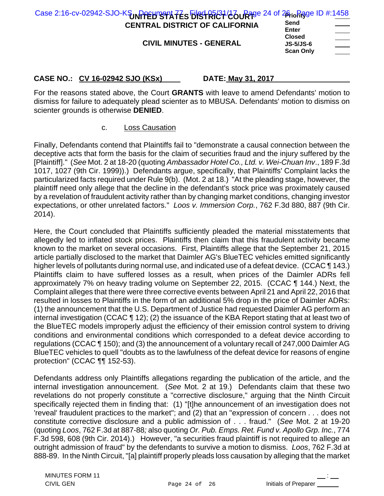| Case 2:16-cv-02942-SJO-KSUNPPEHTS TATES FIRST RICT (26 URT) 24 of 26 in Rigge ID #:1458<br><b>CENTRAL DISTRICT OF CALIFORNIA</b> | Send                                 | and the company of the company |
|----------------------------------------------------------------------------------------------------------------------------------|--------------------------------------|--------------------------------|
| <b>CIVIL MINUTES - GENERAL</b>                                                                                                   | Enter<br><b>Closed</b>               |                                |
|                                                                                                                                  | <b>JS-5/JS-6</b><br><b>Scan Only</b> |                                |

For the reasons stated above, the Court **GRANTS** with leave to amend Defendants' motion to dismiss for failure to adequately plead scienter as to MBUSA. Defendants' motion to dismiss on scienter grounds is otherwise **DENIED**.

c. Loss Causation

Finally, Defendants contend that Plaintiffs fail to "demonstrate a causal connection between the deceptive acts that form the basis for the claim of securities fraud and the injury suffered by the [Plaintiff]." (*See* Mot. 2 at 18-20 (quoting *Ambassador Hotel Co., Ltd. v. Wei-Chuan Inv*., 189 F.3d 1017, 1027 (9th Cir. 1999)).) Defendants argue, specifically, that Plaintiffs' Complaint lacks the particularized facts required under Rule 9(b). (Mot. 2 at 18.) "At the pleading stage, however, the plaintiff need only allege that the decline in the defendant's stock price was proximately caused by a revelation of fraudulent activity rather than by changing market conditions, changing investor expectations, or other unrelated factors." *Loos v. Immersion Corp.*, 762 F.3d 880, 887 (9th Cir. 2014).

Here, the Court concluded that Plaintiffs sufficiently pleaded the material misstatements that allegedly led to inflated stock prices. Plaintiffs then claim that this fraudulent activity became known to the market on several occasions. First, Plaintiffs allege that the September 21, 2015 article partially disclosed to the market that Daimler AG's BlueTEC vehicles emitted significantly higher levels of pollutants during normal use, and indicated use of a defeat device. (CCAC ¶ 143.) Plaintiffs claim to have suffered losses as a result, when prices of the Daimler ADRs fell approximately 7% on heavy trading volume on September 22, 2015. (CCAC ¶ 144.) Next, the Complaint alleges that there were three corrective events between April 21 and April 22, 2016 that resulted in losses to Plaintiffs in the form of an additional 5% drop in the price of Daimler ADRs: (1) the announcement that the U.S. Department of Justice had requested Daimler AG perform an internal investigation (CCAC ¶ 12); (2) the issuance of the KBA Report stating that at least two of the BlueTEC models improperly adjust the efficiency of their emission control system to driving conditions and environmental conditions which corresponded to a defeat device according to regulations (CCAC ¶ 150); and (3) the announcement of a voluntary recall of 247,000 Daimler AG BlueTEC vehicles to quell "doubts as to the lawfulness of the defeat device for reasons of engine protection" (CCAC ¶¶ 152-53).

Defendants address only Plaintiffs allegations regarding the publication of the article, and the internal investigation announcement. (*See* Mot. 2 at 19.) Defendants claim that these two revelations do not properly constitute a "corrective disclosure," arguing that the Ninth Circuit specifically rejected them in finding that: (1) "[t]he announcement of an investigation does not 'reveal' fraudulent practices to the market"; and (2) that an "expression of concern . . . does not constitute corrective disclosure and a public admission of . . . fraud." (*See* Mot. 2 at 19-20 (quoting *Loos*, 762 F.3d at 887-88*;* also quoting *Or. Pub. Emps. Ret. Fund v. Apollo Grp. Inc.*, 774 F.3d 598, 608 (9th Cir. 2014).) However, "a securities fraud plaintiff is not required to allege an outright admission of fraud" by the defendants to survive a motion to dismiss. *Loos*, 762 F.3d at 888-89. In the Ninth Circuit, "[a] plaintiff properly pleads loss causation by alleging that the market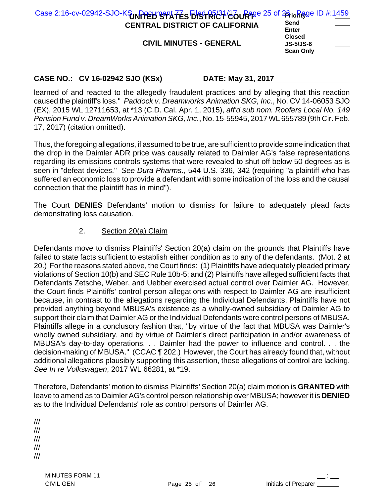| Case 2:16-cv-02942-SJO-KSUNPPEHTS TATES EIRSTRICT/COURTER 25 of 26 to Figue ID #:1459<br><b>CENTRAL DISTRICT OF CALIFORNIA</b><br><b>CIVIL MINUTES - GENERAL</b> | Send<br>$\frac{1}{2} \left( \frac{1}{2} \right) \left( \frac{1}{2} \right) \left( \frac{1}{2} \right) \left( \frac{1}{2} \right) \left( \frac{1}{2} \right) \left( \frac{1}{2} \right) \left( \frac{1}{2} \right) \left( \frac{1}{2} \right) \left( \frac{1}{2} \right) \left( \frac{1}{2} \right) \left( \frac{1}{2} \right) \left( \frac{1}{2} \right) \left( \frac{1}{2} \right) \left( \frac{1}{2} \right) \left( \frac{1}{2} \right) \left( \frac{1}{2} \right) \left( \frac$<br><b>Enter</b><br><u> London Communica</u><br><b>Closed</b><br><b>JS-5/JS-6</b> |
|------------------------------------------------------------------------------------------------------------------------------------------------------------------|---------------------------------------------------------------------------------------------------------------------------------------------------------------------------------------------------------------------------------------------------------------------------------------------------------------------------------------------------------------------------------------------------------------------------------------------------------------------------------------------------------------------------------------------------------------------|
|                                                                                                                                                                  | <b>Scan Only</b><br>___                                                                                                                                                                                                                                                                                                                                                                                                                                                                                                                                             |

learned of and reacted to the allegedly fraudulent practices and by alleging that this reaction caused the plaintiff's loss." *Paddock v. Dreamworks Animation SKG, Inc*., No. CV 14-06053 SJO (EX), 2015 WL 12711653, at \*13 (C.D. Cal. Apr. 1, 2015), *aff'd sub nom. Roofers Local No. 149 Pension Fund v. DreamWorks Animation SKG, Inc.*, No. 15-55945, 2017 WL 655789 (9th Cir. Feb. 17, 2017) (citation omitted).

Thus, the foregoing allegations, if assumed to be true, are sufficient to provide some indication that the drop in the Daimler ADR price was causally related to Daimler AG's false representations regarding its emissions controls systems that were revealed to shut off below 50 degrees as is seen in "defeat devices." *See Dura Pharms*., 544 U.S. 336, 342 (requiring "a plaintiff who has suffered an economic loss to provide a defendant with some indication of the loss and the causal connection that the plaintiff has in mind").

The Court **DENIES** Defendants' motion to dismiss for failure to adequately plead facts demonstrating loss causation.

## 2. Section 20(a) Claim

Defendants move to dismiss Plaintiffs' Section 20(a) claim on the grounds that Plaintiffs have failed to state facts sufficient to establish either condition as to any of the defendants. (Mot. 2 at 20.) For the reasons stated above, the Court finds: (1) Plaintiffs have adequately pleaded primary violations of Section 10(b) and SEC Rule 10b-5; and (2) Plaintiffs have alleged sufficient facts that Defendants Zetsche, Weber, and Uebber exercised actual control over Daimler AG. However, the Court finds Plaintiffs' control person allegations with respect to Daimler AG are insufficient because, in contrast to the allegations regarding the Individual Defendants, Plaintiffs have not provided anything beyond MBUSA's existence as a wholly-owned subsidiary of Daimler AG to support their claim that Daimler AG or the Individual Defendants were control persons of MBUSA. Plaintiffs allege in a conclusory fashion that, "by virtue of the fact that MBUSA was Daimler's wholly owned subsidiary, and by virtue of Daimler's direct participation in and/or awareness of MBUSA's day-to-day operations. . . Daimler had the power to influence and control. . . the decision-making of MBUSA." (CCAC ¶ 202.) However, the Court has already found that, without additional allegations plausibly supporting this assertion, these allegations of control are lacking. *See In re Volkswagen*, 2017 WL 66281, at \*19.

Therefore, Defendants' motion to dismiss Plaintiffs' Section 20(a) claim motion is **GRANTED** with leave to amend as to Daimler AG's control person relationship over MBUSA; however it is **DENIED** as to the Individual Defendants' role as control persons of Daimler AG.

/// /// /// ///

///